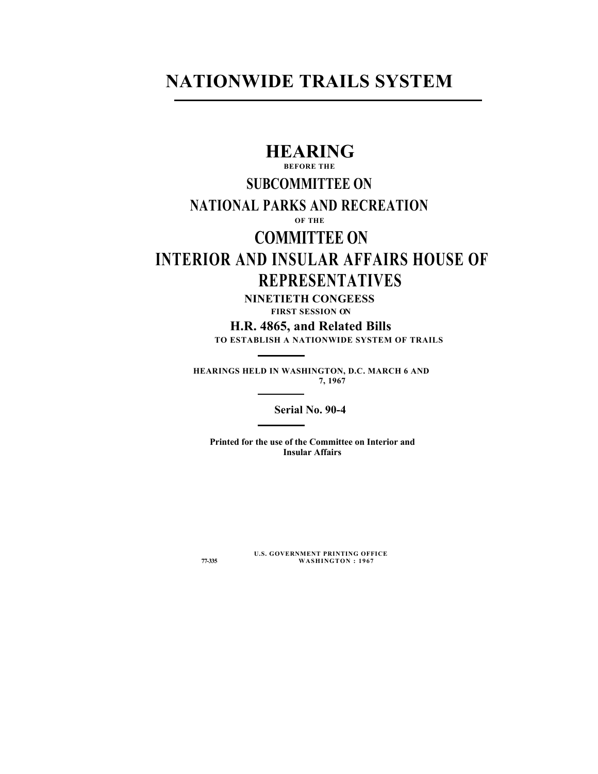# **NATIONWIDE TRAILS SYSTEM**

# **HEARING**

**BEFORE THE**

# **SUBCOMMITTEE ON**

# **NATIONAL PARKS AND RECREATION**

**OF THE**

# **COMMITTEE ON INTERIOR AND INSULAR AFFAIRS HOUSE OF REPRESENTATIVES**

**NINETIETH CONGEESS FIRST SESSION ON**

**H.R. 4865, and Related Bills TO ESTABLISH A NATIONWIDE SYSTEM OF TRAILS**

**HEARINGS HELD IN WASHINGTON, D.C. MARCH 6 AND 7, 1967**

**Serial No. 90-4**

**Printed for the use of the Committee on Interior and Insular Affairs**

**U.S. GOVERNMENT PRINTING OFFICE 77-335 WASHINGTON : 1967**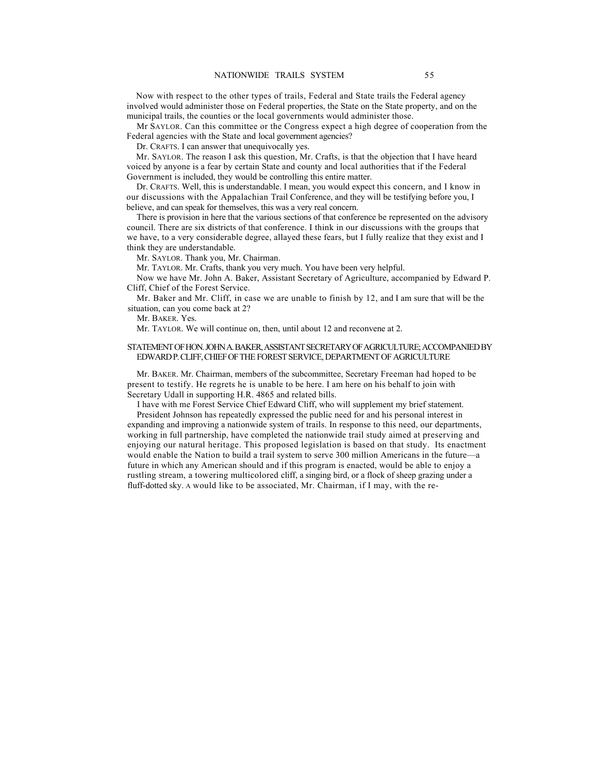Now with respect to the other types of trails, Federal and State trails the Federal agency involved would administer those on Federal properties, the State on the State property, and on the municipal trails, the counties or the local governments would administer those.

Mr SAYLOR. Can this committee or the Congress expect a high degree of cooperation from the Federal agencies with the State and local government agencies?

Dr. CRAFTS. I can answer that unequivocally yes.

Mr. SAYLOR. The reason I ask this question, Mr. Crafts, is that the objection that I have heard voiced by anyone is a fear by certain State and county and local authorities that if the Federal Government is included, they would be controlling this entire matter.

Dr. CRAFTS. Well, this is understandable. I mean, you would expect this concern, and I know in our discussions with the Appalachian Trail Conference, and they will be testifying before you, I believe, and can speak for themselves, this was a very real concern.

There is provision in here that the various sections of that conference be represented on the advisory council. There are six districts of that conference. I think in our discussions with the groups that we have, to a very considerable degree, allayed these fears, but I fully realize that they exist and I think they are understandable.

Mr. SAYLOR. Thank you, Mr. Chairman.

Mr. TAYLOR. Mr. Crafts, thank you very much. You have been very helpful.

Now we have Mr. John A. Baker, Assistant Secretary of Agriculture, accompanied by Edward P. Cliff, Chief of the Forest Service.

Mr. Baker and Mr. Cliff, in case we are unable to finish by 12, and I am sure that will be the situation, can you come back at 2?

Mr. BAKER. Yes.

Mr. TAYLOR. We will continue on, then, until about 12 and reconvene at 2.

#### STATEMENT OF HON. JOHN A. BAKER, ASSISTANT SECRETARY OF AGRICULTURE; ACCOMPANIED BY EDWARD P. CLIFF, CHIEF OF THE FOREST SERVICE, DEPARTMENT OF AGRICULTURE

Mr. BAKER. Mr. Chairman, members of the subcommittee, Secretary Freeman had hoped to be present to testify. He regrets he is unable to be here. I am here on his behalf to join with Secretary Udall in supporting H.R. 4865 and related bills.

I have with me Forest Service Chief Edward Cliff, who will supplement my brief statement.

President Johnson has repeatedly expressed the public need for and his personal interest in expanding and improving a nationwide system of trails. In response to this need, our departments, working in full partnership, have completed the nationwide trail study aimed at preserving and enjoying our natural heritage. This proposed legislation is based on that study. Its enactment would enable the Nation to build a trail system to serve 300 million Americans in the future—a future in which any American should and if this program is enacted, would be able to enjoy a rustling stream, a towering multicolored cliff, a singing bird, or a flock of sheep grazing under a fluff-dotted sky. A would like to be associated, Mr. Chairman, if I may, with the re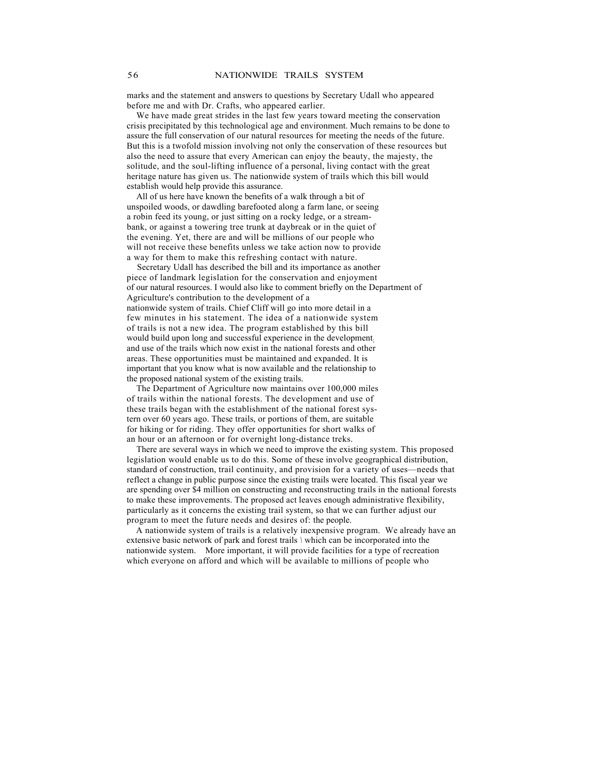marks and the statement and answers to questions by Secretary Udall who appeared before me and with Dr. Crafts, who appeared earlier.

We have made great strides in the last few years toward meeting the conservation crisis precipitated by this technological age and environment. Much remains to be done to assure the full conservation of our natural resources for meeting the needs of the future. But this is a twofold mission involving not only the conservation of these resources but also the need to assure that every American can enjoy the beauty, the majesty, the solitude, and the soul-lifting influence of a personal, living contact with the great heritage nature has given us. The nationwide system of trails which this bill would establish would help provide this assurance.

All of us here have known the benefits of a walk through a bit of unspoiled woods, or dawdling barefooted along a farm lane, or seeing a robin feed its young, or just sitting on a rocky ledge, or a streambank, or against a towering tree trunk at daybreak or in the quiet of the evening. Yet, there are and will be millions of our people who will not receive these benefits unless we take action now to provide a way for them to make this refreshing contact with nature.

Secretary Udall has described the bill and its importance as another piece of landmark legislation for the conservation and enjoyment of our natural resources. I would also like to comment briefly on the Department of Agriculture's contribution to the development of a nationwide system of trails. Chief Cliff will go into more detail in a few minutes in his statement. The idea of a nationwide system of trails is not a new idea. The program established by this bill would build upon long and successful experience in the development. and use of the trails which now exist in the national forests and other areas. These opportunities must be maintained and expanded. It is important that you know what is now available and the relationship to the proposed national system of the existing trails.

The Department of Agriculture now maintains over 100,000 miles of trails within the national forests. The development and use of these trails began with the establishment of the national forest systern over 60 years ago. These trails, or portions of them, are suitable for hiking or for riding. They offer opportunities for short walks of an hour or an afternoon or for overnight long-distance treks.

There are several ways in which we need to improve the existing system. This proposed legislation would enable us to do this. Some of these involve geographical distribution, standard of construction, trail continuity, and provision for a variety of uses—needs that reflect a change in public purpose since the existing trails were located. This fiscal year we are spending over \$4 million on constructing and reconstructing trails in the national forests to make these improvements. The proposed act leaves enough administrative flexibility, particularly as it concerns the existing trail system, so that we can further adjust our program to meet the future needs and desires of: the people.

A nationwide system of trails is a relatively inexpensive program. We already have an extensive basic network of park and forest trails *\* which can be incorporated into the nationwide system. More important, it will provide facilities for a type of recreation which everyone on afford and which will be available to millions of people who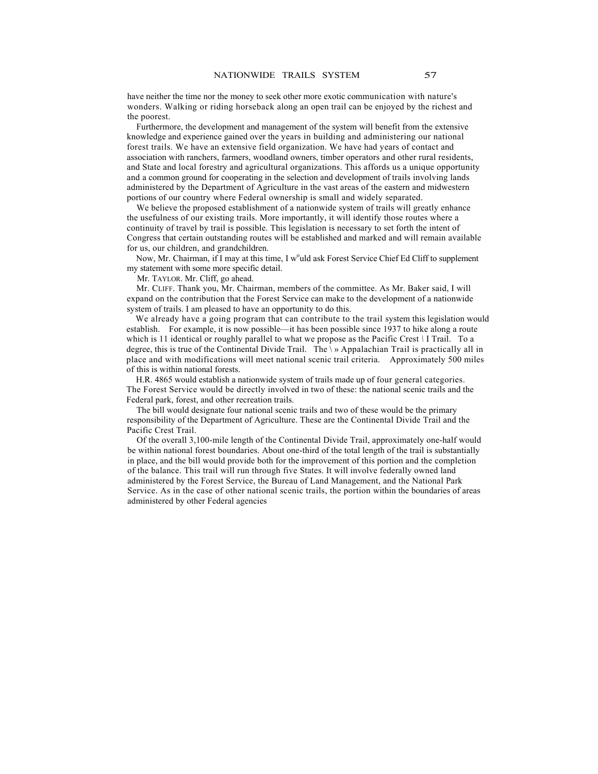have neither the time nor the money to seek other more exotic communication with nature's wonders. Walking or riding horseback along an open trail can be enjoyed by the richest and the poorest.

Furthermore, the development and management of the system will benefit from the extensive knowledge and experience gained over the years in building and administering our national forest trails. We have an extensive field organization. We have had years of contact and association with ranchers, farmers, woodland owners, timber operators and other rural residents, and State and local forestry and agricultural organizations. This affords us a unique opportunity and a common ground for cooperating in the selection and development of trails involving lands administered by the Department of Agriculture in the vast areas of the eastern and midwestern portions of our country where Federal ownership is small and widely separated.

We believe the proposed establishment of a nationwide system of trails will greatly enhance the usefulness of our existing trails. More importantly, it will identify those routes where a continuity of travel by trail is possible. This legislation is necessary to set forth the intent of Congress that certain outstanding routes will be established and marked and will remain available for us, our children, and grandchildren.

Now, Mr. Chairman, if I may at this time, I w<sup>o</sup>uld ask Forest Service Chief Ed Cliff to supplement my statement with some more specific detail.

Mr. TAYLOR. Mr. Cliff, go ahead.

Mr. CLIFF. Thank you, Mr. Chairman, members of the committee. As Mr. Baker said, I will expand on the contribution that the Forest Service can make to the development of a nationwide system of trails. I am pleased to have an opportunity to do this.

We already have a going program that can contribute to the trail system this legislation would establish. For example, it is now possible—it has been possible since 1937 to hike along a route which is 11 identical or roughly parallel to what we propose as the Pacific Crest *\* I Trail. To a degree, this is true of the Continental Divide Trail. The  $\Diamond$  Appalachian Trail is practically all in place and with modifications will meet national scenic trail criteria. Approximately 500 miles of this is within national forests.

H.R. 4865 would establish a nationwide system of trails made up of four general categories. The Forest Service would be directly involved in two of these: the national scenic trails and the Federal park, forest, and other recreation trails.

The bill would designate four national scenic trails and two of these would be the primary responsibility of the Department of Agriculture. These are the Continental Divide Trail and the Pacific Crest Trail.

Of the overall 3,100-mile length of the Continental Divide Trail, approximately one-half would be within national forest boundaries. About one-third of the total length of the trail is substantially in place, and the bill would provide both for the improvement of this portion and the completion of the balance. This trail will run through five States. It will involve federally owned land administered by the Forest Service, the Bureau of Land Management, and the National Park Service. As in the case of other national scenic trails, the portion within the boundaries of areas administered by other Federal agencies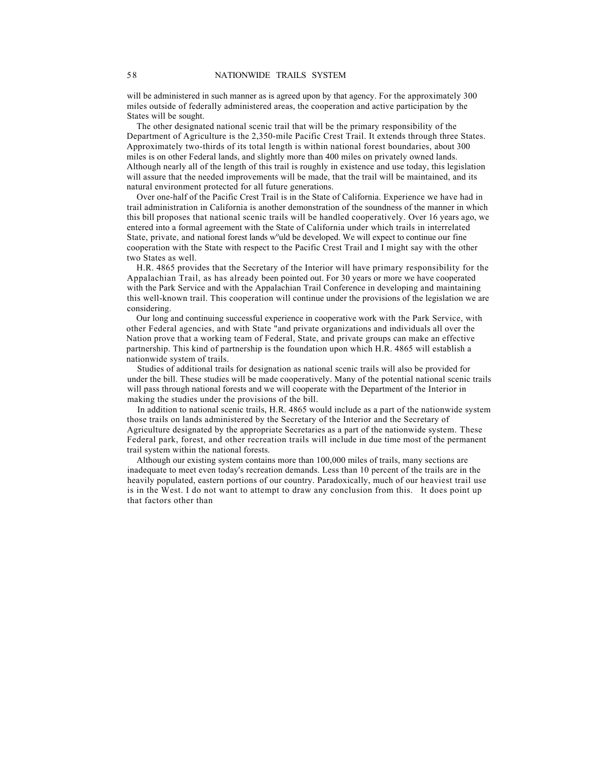will be administered in such manner as is agreed upon by that agency. For the approximately 300 miles outside of federally administered areas, the cooperation and active participation by the States will be sought.

The other designated national scenic trail that will be the primary responsibility of the Department of Agriculture is the 2,350-mile Pacific Crest Trail. It extends through three States. Approximately two-thirds of its total length is within national forest boundaries, about 300 miles is on other Federal lands, and slightly more than 400 miles on privately owned lands. Although nearly all of the length of this trail is roughly in existence and use today, this legislation will assure that the needed improvements will be made, that the trail will be maintained, and its natural environment protected for all future generations.

Over one-half of the Pacific Crest Trail is in the State of California. Experience we have had in trail administration in California is another demonstration of the soundness of the manner in which this bill proposes that national scenic trails will be handled cooperatively. Over 16 years ago, we entered into a formal agreement with the State of California under which trails in interrelated State, private, and national forest lands w<sup>o</sup>uld be developed. We will expect to continue our fine cooperation with the State with respect to the Pacific Crest Trail and I might say with the other two States as well.

H.R. 4865 provides that the Secretary of the Interior will have primary responsibility for the Appalachian Trail, as has already been pointed out. For 30 years or more we have cooperated with the Park Service and with the Appalachian Trail Conference in developing and maintaining this well-known trail. This cooperation will continue under the provisions of the legislation we are considering.

Our long and continuing successful experience in cooperative work with the Park Service, with other Federal agencies, and with State "and private organizations and individuals all over the Nation prove that a working team of Federal, State, and private groups can make an effective partnership. This kind of partnership is the foundation upon which H.R. 4865 will establish a nationwide system of trails.

Studies of additional trails for designation as national scenic trails will also be provided for under the bill. These studies will be made cooperatively. Many of the potential national scenic trails will pass through national forests and we will cooperate with the Department of the Interior in making the studies under the provisions of the bill.

In addition to national scenic trails, H.R. 4865 would include as a part of the nationwide system those trails on lands administered by the Secretary of the Interior and the Secretary of Agriculture designated by the appropriate Secretaries as a part of the nationwide system. These Federal park, forest, and other recreation trails will include in due time most of the permanent trail system within the national forests.

Although our existing system contains more than 100,000 miles of trails, many sections are inadequate to meet even today's recreation demands. Less than 10 percent of the trails are in the heavily populated, eastern portions of our country. Paradoxically, much of our heaviest trail use is in the West. I do not want to attempt to draw any conclusion from this. It does point up that factors other than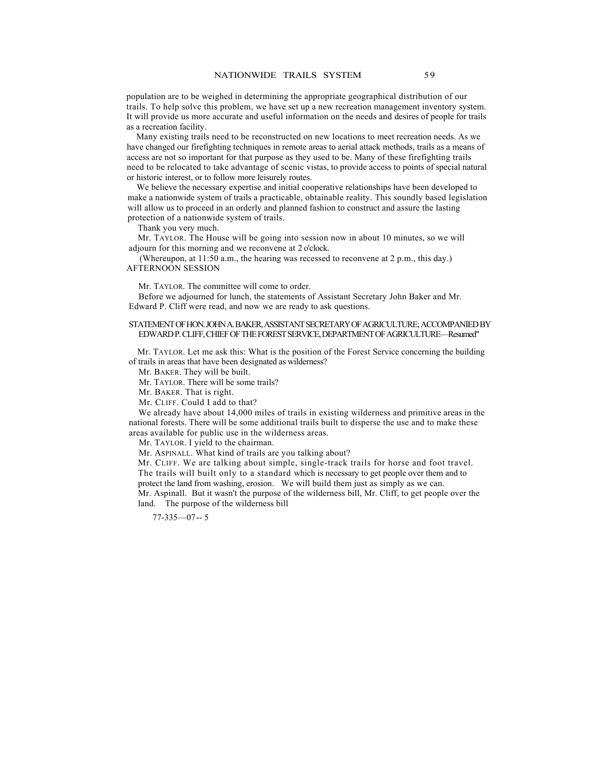population are to be weighed in determining the appropriate geographical distribution of our trails. To help solve this problem, we have set up a new recreation management inventory system. It will provide us more accurate and useful information on the needs and desires of people for trails as a recreation facility.

Many existing trails need to be reconstructed on new locations to meet recreation needs. As we have changed our firefighting techniques in remote areas to aerial attack methods, trails as a means of access are not so important for that purpose as they used to be. Many of these firefighting trails need to be relocated to take advantage of scenic vistas, to provide access to points of special natural or historic interest, or to follow more leisurely routes.

We believe the necessary expertise and initial cooperative relationships have been developed to make a nationwide system of trails a practicable, obtainable reality. This soundly based legislation will allow us to proceed in an orderly and planned fashion to construct and assure the lasting protection of a nationwide system of trails.

Thank you very much.

Mr. TAYLOR. The House will be going into session now in about 10 minutes, so we will adjourn for this morning and we reconvene at 2 o'clock.

(Whereupon, at 11:50 a.m., the hearing was recessed to reconvene at 2 p.m., this day.) AFTERNOON SESSION

Mr. TAYLOR. The committee will come to order.

Before we adjourned for lunch, the statements of Assistant Secretary John Baker and Mr. Edward P. Cliff were read, and now we are ready to ask questions.

## STATEMENT OF HON. JOHN A. BAKER, ASSISTANT SECRETARY OF AGRICULTURE; ACCOMPANIED BY EDWARD P. CLIFF, CHIEF OF THE FOREST SERVICE, DEPARTMENT OF AGRICULTURE—Resumed"

Mr. TAYLOR. Let me ask this: What is the position of the Forest Service concerning the building of trails in areas that have been designated as wilderness?

Mr. BAKER. They will be built.

Mr. TAYLOR. There will be some trails?

Mr. BAKER. That is right.

Mr. CLIFF. Could I add to that?

We already have about 14,000 miles of trails in existing wilderness and primitive areas in the national forests. There will be some additional trails built to disperse the use and to make these areas available for public use in the wilderness areas.

Mr. TAYLOR. I yield to the chairman.

Mr. ASPINALL. What kind of trails are you talking about?

Mr. CLIFF. We are talking about simple, single-track trails for horse and foot travel. The trails will built only to a standard which is necessary to get people over them and to protect the land from washing, erosion. We will build them just as simply as we can.

Mr. Aspinall. But it wasn't the purpose of the wilderness bill, Mr. Cliff, to get people over the land. The purpose of the wilderness bill

77-335—07-- 5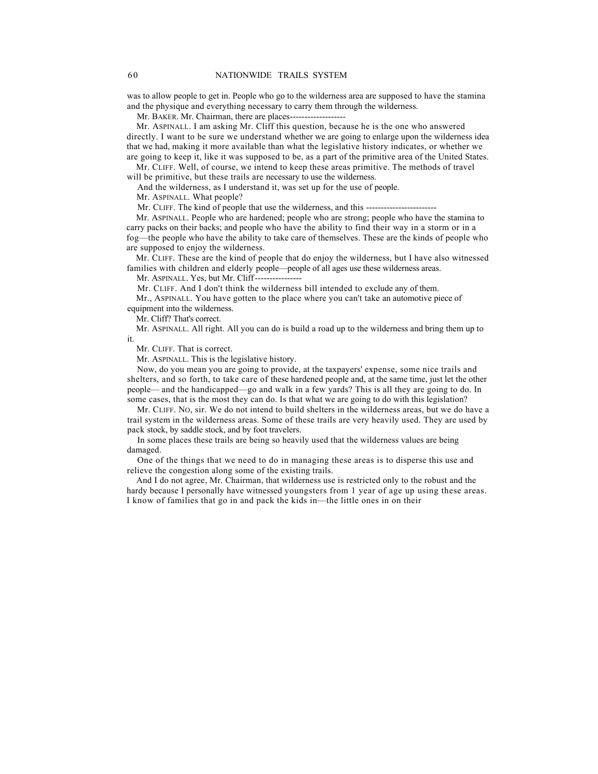was to allow people to get in. People who go to the wilderness area are supposed to have the stamina and the physique and everything necessary to carry them through the wilderness.

Mr. BAKER. Mr. Chairman, there are places----

Mr. ASPINALL. I am asking Mr. Cliff this question, because he is the one who answered directly. I want to be sure we understand whether we are going to enlarge upon the wilderness idea that we had, making it more available than what the legislative history indicates, or whether we are going to keep it, like it was supposed to be, as a part of the primitive area of the United States.

Mr. CLIFF. Well, of course, we intend to keep these areas primitive. The methods of travel will be primitive, but these trails are necessary to use the wilderness.

And the wilderness, as I understand it, was set up for the use of people.

Mr. ASPINALL. What people?

Mr. CLIFF. The kind of people that use the wilderness, and this -------

Mr. ASPINALL. People who are hardened; people who are strong; people who have the stamina to carry packs on their backs; and people who have the ability to find their way in a storm or in a fog—the people who have the ability to take care of themselves. These are the kinds of people who are supposed to enjoy the wilderness.

Mr. CLIFF. These are the kind of people that do enjoy the wilderness, but I have also witnessed families with children and elderly people—people of all ages use these wilderness areas.

Mr. ASPINALL. Yes, but Mr. Cliff ----------------

Mr. CLIFF. And I don't think the wilderness bill intended to exclude any of them.

Mr., ASPINALL. You have gotten to the place where you can't take an automotive piece of equipment into the wilderness.

Mr. Cliff? That's correct.

Mr. ASPINALL. All right. All you can do is build a road up to the wilderness and bring them up to it.

Mr. CLIFF. That is correct.

Mr. ASPINALL. This is the legislative history.

Now, do you mean you are going to provide, at the taxpayers' expense, some nice trails and shelters, and so forth, to take care of these hardened people and, at the same time, just let the other people— and the handicapped—go and walk in a few yards? This is all they are going to do. In some cases, that is the most they can do. Is that what we are going to do with this legislation?

Mr. CLIFF. NO, sir. We do not intend to build shelters in the wilderness areas, but we do have a trail system in the wilderness areas. Some of these trails are very heavily used. They are used by pack stock, by saddle stock, and by foot travelers.

In some places these trails are being so heavily used that the wilderness values are being damaged.

One of the things that we need to do in managing these areas is to disperse this use and relieve the congestion along some of the existing trails.

And I do not agree, Mr. Chairman, that wilderness use is restricted only to the robust and the hardy because I personally have witnessed youngsters from 1 year of age up using these areas. I know of families that go in and pack the kids in—the little ones in on their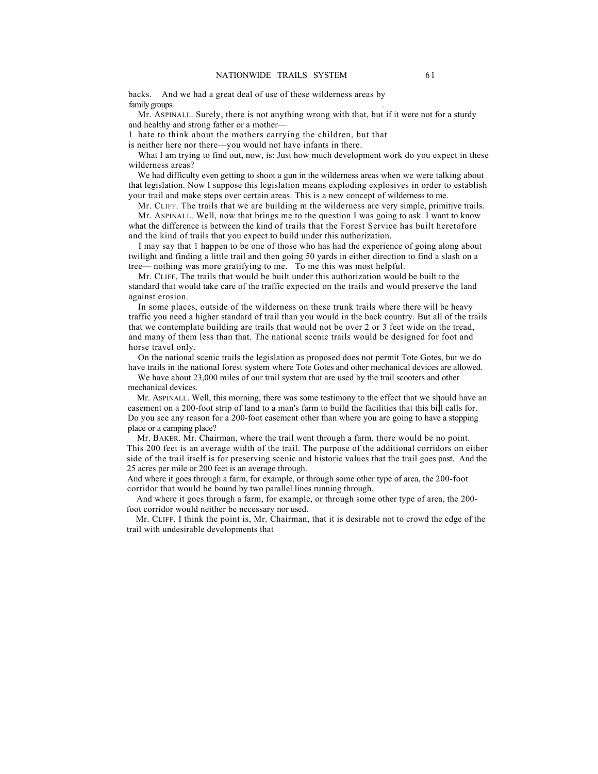backs. And we had a great deal of use of these wilderness areas by family groups.

Mr. ASPINALL. Surely, there is not anything wrong with that, but if it were not for a sturdy and healthy and strong father or a mother—

1 hate to think about the mothers carrying the children, but that

is neither here nor there—you would not have infants in there.

What I am trying to find out, now, is: Just how much development work do you expect in these wilderness areas?

We had difficulty even getting to shoot a gun in the wilderness areas when we were talking about that legislation. Now I suppose this legislation means exploding explosives in order to establish your trail and make steps over certain areas. This is a new concept of wilderness to me.

Mr. CLIFF. The trails that we are building m the wilderness are very simple, primitive trails. Mr. ASPINALL. Well, now that brings me to the question I was going to ask. I want to know what the difference is between the kind of trails that the Forest Service has built heretofore and the kind of trails that you expect to build under this authorization.

I may say that 1 happen to be one of those who has had the experience of going along about twilight and finding a little trail and then going 50 yards in either direction to find a slash on a tree— nothing was more gratifying to me. To me this was most helpful.

Mr. CLIFF, The trails that would be built under this authorization would be built to the standard that would take care of the traffic expected on the trails and would preserve the land against erosion.

In some places, outside of the wilderness on these trunk trails where there will be heavy traffic you need a higher standard of trail than you would in the back country. But all of the trails that we contemplate building are trails that would not be over 2 or 3 feet wide on the tread, and many of them less than that. The national scenic trails would be designed for foot and horse travel only.

On the national scenic trails the legislation as proposed does not permit Tote Gotes, but we do have trails in the national forest system where Tote Gotes and other mechanical devices are allowed.

We have about 23,000 miles of our trail system that are used by the trail scooters and other mechanical devices.

Mr. ASPINALL. Well, this morning, there was some testimony to the effect that we should have an easement on a 200-foot strip of land to a man's farm to build the facilities that this bill calls for. Do you see any reason for a 200-foot easement other than where you are going to have a stopping place or a camping place?

Mr. BAKER. Mr. Chairman, where the trail went through a farm, there would be no point. This 200 feet is an average width of the trail. The purpose of the additional corridors on either side of the trail itself is for preserving scenic and historic values that the trail goes past. And the 25 acres per mile or 200 feet is an average through.

And where it goes through a farm, for example, or through some other type of area, the 200-foot corridor that would be bound by two parallel lines running through.

And where it goes through a farm, for example, or through some other type of area, the 200 foot corridor would neither be necessary nor used.

Mr. CLIFF. I think the point is, Mr. Chairman, that it is desirable not to crowd the edge of the trail with undesirable developments that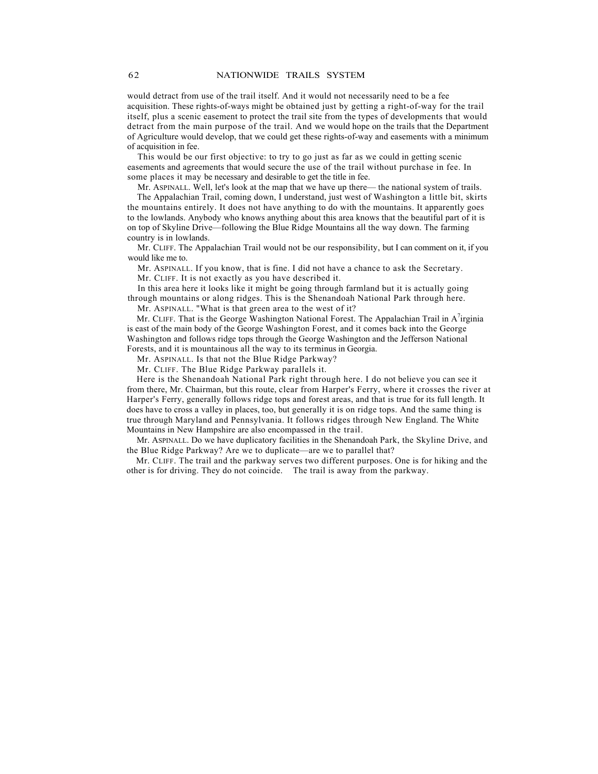would detract from use of the trail itself. And it would not necessarily need to be a fee acquisition. These rights-of-ways might be obtained just by getting a right-of-way for the trail itself, plus a scenic easement to protect the trail site from the types of developments that would detract from the main purpose of the trail. And we would hope on the trails that the Department of Agriculture would develop, that we could get these rights-of-way and easements with a minimum of acquisition in fee.

This would be our first objective: to try to go just as far as we could in getting scenic easements and agreements that would secure the use of the trail without purchase in fee. In some places it may be necessary and desirable to get the title in fee.

Mr. ASPINALL. Well, let's look at the map that we have up there— the national system of trails. The Appalachian Trail, coming down, I understand, just west of Washington a little bit, skirts the mountains entirely. It does not have anything to do with the mountains. It apparently goes to the lowlands. Anybody who knows anything about this area knows that the beautiful part of it is on top of Skyline Drive—following the Blue Ridge Mountains all the way down. The farming country is in lowlands.

Mr. CLIFF. The Appalachian Trail would not be our responsibility, but I can comment on it, if you would like me to.

Mr. ASPINALL. If you know, that is fine. I did not have a chance to ask the Secretary.

Mr. CLIFF. It is not exactly as you have described it.

In this area here it looks like it might be going through farmland but it is actually going through mountains or along ridges. This is the Shenandoah National Park through here.

Mr. ASPINALL. "What is that green area to the west of it?

Mr. CLIFF. That is the George Washington National Forest. The Appalachian Trail in  $A^{7}$ irginia is east of the main body of the George Washington Forest, and it comes back into the George Washington and follows ridge tops through the George Washington and the Jefferson National Forests, and it is mountainous all the way to its terminus in Georgia.

Mr. ASPINALL. Is that not the Blue Ridge Parkway?

Mr. CLIFF. The Blue Ridge Parkway parallels it.

Here is the Shenandoah National Park right through here. I do not believe you can see it from there, Mr. Chairman, but this route, clear from Harper's Ferry, where it crosses the river at Harper's Ferry, generally follows ridge tops and forest areas, and that is true for its full length. It does have to cross a valley in places, too, but generally it is on ridge tops. And the same thing is true through Maryland and Pennsylvania. It follows ridges through New England. The White Mountains in New Hampshire are also encompassed in the trail.

Mr. ASPINALL. Do we have duplicatory facilities in the Shenandoah Park, the Skyline Drive, and the Blue Ridge Parkway? Are we to duplicate—are we to parallel that?

Mr. CLIFF. The trail and the parkway serves two different purposes. One is for hiking and the other is for driving. They do not coincide. The trail is away from the parkway.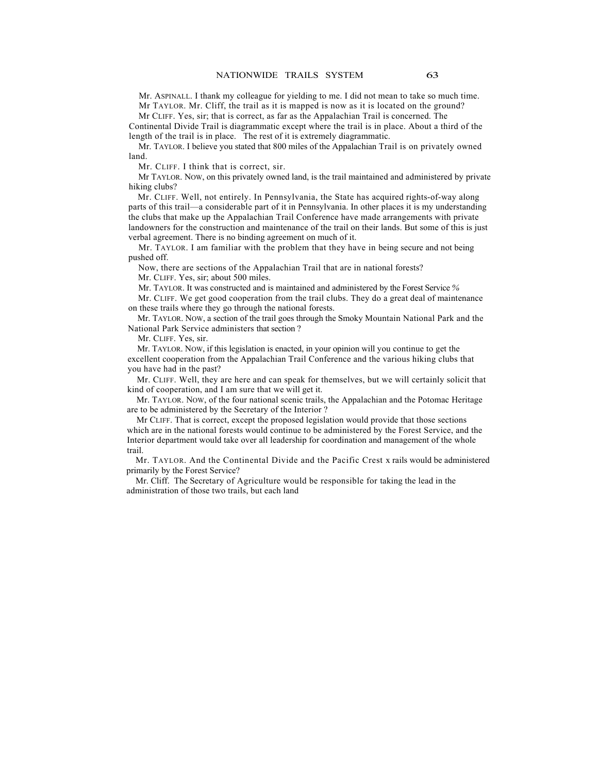Mr. ASPINALL. I thank my colleague for yielding to me. I did not mean to take so much time. Mr TAYLOR. Mr. Cliff, the trail as it is mapped is now as it is located on the ground? Mr CLIFF. Yes, sir; that is correct, as far as the Appalachian Trail is concerned. The

Continental Divide Trail is diagrammatic except where the trail is in place. About a third of the length of the trail is in place. The rest of it is extremely diagrammatic.

Mr. TAYLOR. I believe you stated that 800 miles of the Appalachian Trail is on privately owned land.

Mr. CLIFF. I think that is correct, sir.

Mr TAYLOR. NOW, on this privately owned land, is the trail maintained and administered by private hiking clubs?

Mr. CLIFF. Well, not entirely. In Pennsylvania, the State has acquired rights-of-way along parts of this trail—a considerable part of it in Pennsylvania. In other places it is my understanding the clubs that make up the Appalachian Trail Conference have made arrangements with private landowners for the construction and maintenance of the trail on their lands. But some of this is just verbal agreement. There is no binding agreement on much of it.

Mr. TAYLOR. I am familiar with the problem that they have in being secure and not being pushed off.

Now, there are sections of the Appalachian Trail that are in national forests?

Mr. CLIFF. Yes, sir; about 500 miles.

Mr. TAYLOR. It was constructed and is maintained and administered by the Forest Service *%*

Mr. CLIFF. We get good cooperation from the trail clubs. They do a great deal of maintenance on these trails where they go through the national forests.

Mr. TAYLOR. NOW, a section of the trail goes through the Smoky Mountain National Park and the National Park Service administers that section ?

Mr. CLIFF. Yes, sir.

Mr. TAYLOR. NOW, if this legislation is enacted, in your opinion will you continue to get the excellent cooperation from the Appalachian Trail Conference and the various hiking clubs that you have had in the past?

Mr. CLIFF. Well, they are here and can speak for themselves, but we will certainly solicit that kind of cooperation, and I am sure that we will get it.

Mr. TAYLOR. NOW, of the four national scenic trails, the Appalachian and the Potomac Heritage are to be administered by the Secretary of the Interior ?

Mr CLIFF. That is correct, except the proposed legislation would provide that those sections which are in the national forests would continue to be administered by the Forest Service, and the Interior department would take over all leadership for coordination and management of the whole trail.

Mr. TAYLOR. And the Continental Divide and the Pacific Crest x rails would be administered primarily by the Forest Service?

Mr. Cliff. The Secretary of Agriculture would be responsible for taking the lead in the administration of those two trails, but each land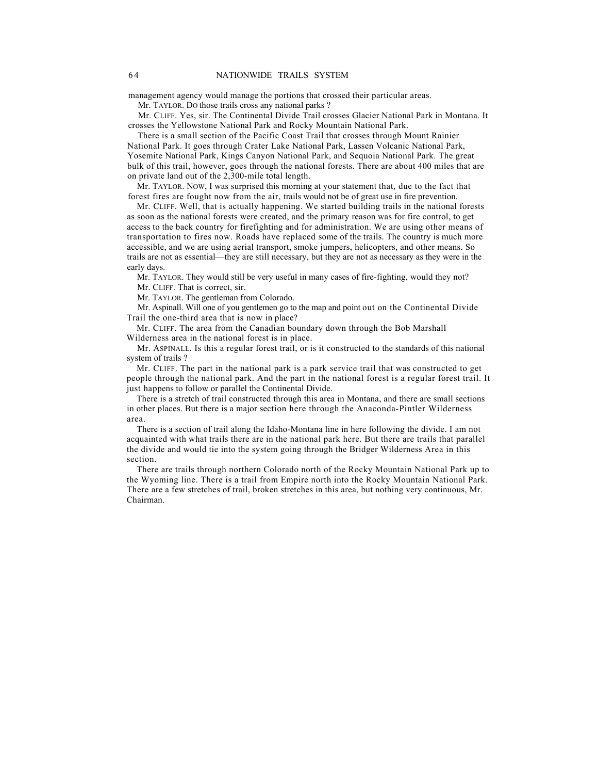management agency would manage the portions that crossed their particular areas.

Mr. TAYLOR. DO those trails cross any national parks?

Mr. CLIFF. Yes, sir. The Continental Divide Trail crosses Glacier National Park in Montana. It crosses the Yellowstone National Park and Rocky Mountain National Park.

There is a small section of the Pacific Coast Trail that crosses through Mount Rainier National Park. It goes through Crater Lake National Park, Lassen Volcanic National Park, Yosemite National Park, Kings Canyon National Park, and Sequoia National Park. The great bulk of this trail, however, goes through the national forests. There are about 400 miles that are on private land out of the 2,300-mile total length.

Mr. TAYLOR. NOW, I was surprised this morning at your statement that, due to the fact that forest fires are fought now from the air, trails would not be of great use in fire prevention.

Mr. CLIFF. Well, that is actually happening. We started building trails in the national forests as soon as the national forests were created, and the primary reason was for fire control, to get access to the back country for firefighting and for administration. We are using other means of transportation to fires now. Roads have replaced some of the trails. The country is much more accessible, and we are using aerial transport, smoke jumpers, helicopters, and other means. So trails are not as essential—they are still necessary, but they are not as necessary as they were in the early days.

Mr. TAYLOR. They would still be very useful in many cases of fire-fighting, would they not?

Mr. CLIFF. That is correct, sir.

Mr. TAYLOR. The gentleman from Colorado.

Mr. Aspinall. Will one of you gentlemen go to the map and point out on the Continental Divide Trail the one-third area that is now in place?

Mr. CLIFF. The area from the Canadian boundary down through the Bob Marshall Wilderness area in the national forest is in place.

Mr. ASPINALL. Is this a regular forest trail, or is it constructed to the standards of this national system of trails ?

Mr. CLIFF. The part in the national park is a park service trail that was constructed to get people through the national park. And the part in the national forest is a regular forest trail. It just happens to follow or parallel the Continental Divide.

There is a stretch of trail constructed through this area in Montana, and there are small sections in other places. But there is a major section here through the Anaconda-Pintler Wilderness area.

There is a section of trail along the Idaho-Montana line in here following the divide. I am not acquainted with what trails there are in the national park here. But there are trails that parallel the divide and would tie into the system going through the Bridger Wilderness Area in this section.

There are trails through northern Colorado north of the Rocky Mountain National Park up to the Wyoming line. There is a trail from Empire north into the Rocky Mountain National Park. There are a few stretches of trail, broken stretches in this area, but nothing very continuous, Mr. Chairman.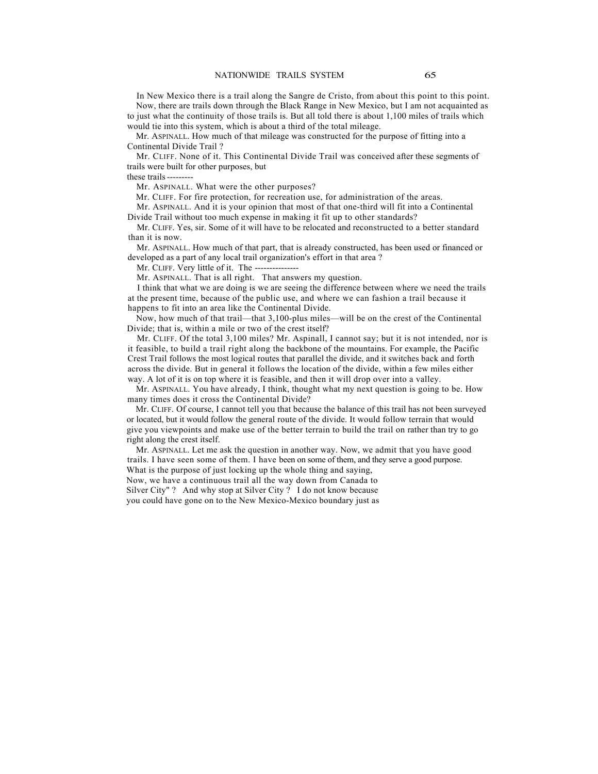In New Mexico there is a trail along the Sangre de Cristo, from about this point to this point. Now, there are trails down through the Black Range in New Mexico, but I am not acquainted as to just what the continuity of those trails is. But all told there is about 1,100 miles of trails which would tie into this system, which is about a third of the total mileage.

Mr. ASPINALL. How much of that mileage was constructed for the purpose of fitting into a Continental Divide Trail ?

Mr. CLIFF. None of it. This Continental Divide Trail was conceived after these segments of trails were built for other purposes, but

these trails ---------

Mr. ASPINALL. What were the other purposes?

Mr. CLIFF. For fire protection, for recreation use, for administration of the areas.

Mr. ASPINALL. And it is your opinion that most of that one-third will fit into a Continental Divide Trail without too much expense in making it fit up to other standards?

Mr. CLIFF. Yes, sir. Some of it will have to be relocated and reconstructed to a better standard than it is now.

Mr. ASPINALL. How much of that part, that is already constructed, has been used or financed or developed as a part of any local trail organization's effort in that area ?

Mr. CLIFF. Very little of it. The ---------------

Mr. ASPINALL. That is all right. That answers my question.

I think that what we are doing is we are seeing the difference between where we need the trails at the present time, because of the public use, and where we can fashion a trail because it happens to fit into an area like the Continental Divide.

Now, how much of that trail—that 3,100-plus miles—will be on the crest of the Continental Divide; that is, within a mile or two of the crest itself?

Mr. CLIFF. Of the total 3,100 miles? Mr. Aspinall, I cannot say; but it is not intended, nor is it feasible, to build a trail right along the backbone of the mountains. For example, the Pacific Crest Trail follows the most logical routes that parallel the divide, and it switches back and forth across the divide. But in general it follows the location of the divide, within a few miles either way. A lot of it is on top where it is feasible, and then it will drop over into a valley.

Mr. ASPINALL. You have already, I think, thought what my next question is going to be. How many times does it cross the Continental Divide?

Mr. CLIFF. Of course, I cannot tell you that because the balance of this trail has not been surveyed or located, but it would follow the general route of the divide. It would follow terrain that would give you viewpoints and make use of the better terrain to build the trail on rather than try to go right along the crest itself.

Mr. ASPINALL. Let me ask the question in another way. Now, we admit that you have good trails. I have seen some of them. I have been on some of them, and they serve a good purpose. What is the purpose of just locking up the whole thing and saying,

Now, we have a continuous trail all the way down from Canada to

Silver City" ? And why stop at Silver City ? I do not know because

you could have gone on to the New Mexico-Mexico boundary just as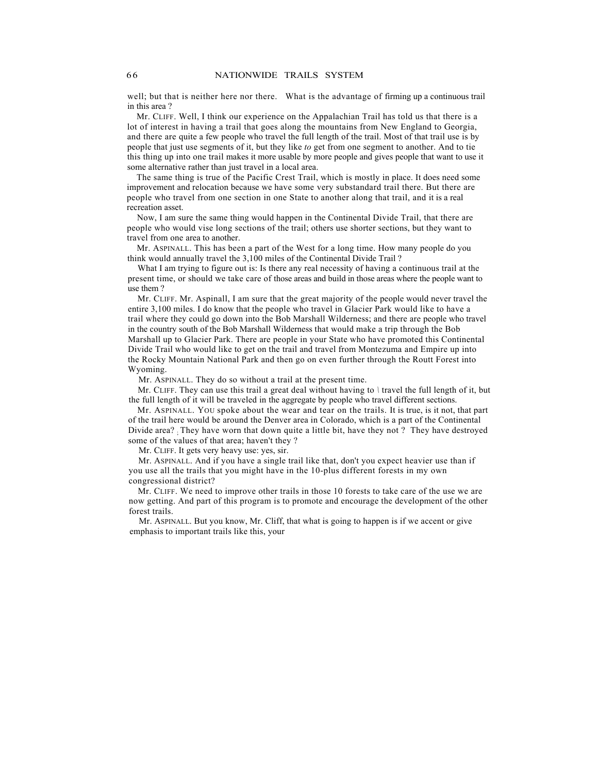well; but that is neither here nor there. What is the advantage of firming up a continuous trail in this area ?

Mr. CLIFF. Well, I think our experience on the Appalachian Trail has told us that there is a lot of interest in having a trail that goes along the mountains from New England to Georgia, and there are quite a few people who travel the full length of the trail. Most of that trail use is by people that just use segments of it, but they like *to* get from one segment to another. And to tie this thing up into one trail makes it more usable by more people and gives people that want to use it some alternative rather than just travel in a local area.

The same thing is true of the Pacific Crest Trail, which is mostly in place. It does need some improvement and relocation because we have some very substandard trail there. But there are people who travel from one section in one State to another along that trail, and it is a real recreation asset.

Now, I am sure the same thing would happen in the Continental Divide Trail, that there are people who would vise long sections of the trail; others use shorter sections, but they want to travel from one area to another.

Mr. ASPINALL. This has been a part of the West for a long time. How many people do you think would annually travel the 3,100 miles of the Continental Divide Trail ?

What I am trying to figure out is: Is there any real necessity of having a continuous trail at the present time, or should we take care of those areas and build in those areas where the people want to use them ?

Mr. CLIFF. Mr. Aspinall, I am sure that the great majority of the people would never travel the entire 3,100 miles. I do know that the people who travel in Glacier Park would like to have a trail where they could go down into the Bob Marshall Wilderness; and there are people who travel in the country south of the Bob Marshall Wilderness that would make a trip through the Bob Marshall up to Glacier Park. There are people in your State who have promoted this Continental Divide Trail who would like to get on the trail and travel from Montezuma and Empire up into the Rocky Mountain National Park and then go on even further through the Routt Forest into Wyoming.

Mr. ASPINALL. They do so without a trail at the present time.

Mr. CLIFF. They can use this trail a great deal without having to *\* travel the full length of it, but the full length of it will be traveled in the aggregate by people who travel different sections.

Mr. ASPINALL. YOU spoke about the wear and tear on the trails. It is true, is it not, that part of the trail here would be around the Denver area in Colorado, which is a part of the Continental Divide area? ; They have worn that down quite a little bit, have they not ? They have destroyed some of the values of that area; haven't they ?

Mr. CLIFF. It gets very heavy use: yes, sir.

Mr. ASPINALL. And if you have a single trail like that, don't you expect heavier use than if you use all the trails that you might have in the 10-plus different forests in my own congressional district?

Mr. CLIFF. We need to improve other trails in those 10 forests to take care of the use we are now getting. And part of this program is to promote and encourage the development of the other forest trails.

Mr. ASPINALL. But you know, Mr. Cliff, that what is going to happen is if we accent or give emphasis to important trails like this, your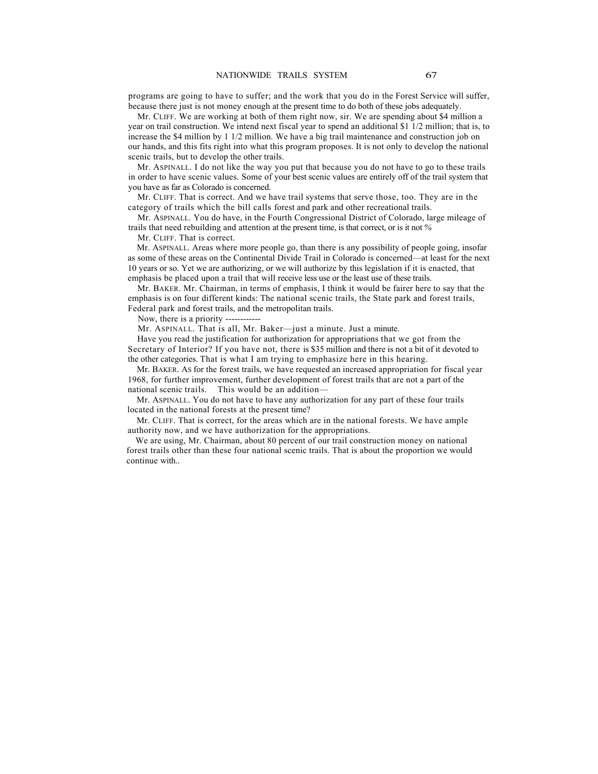programs are going to have to suffer; and the work that you do in the Forest Service will suffer, because there just is not money enough at the present time to do both of these jobs adequately.

Mr. CLIFF. We are working at both of them right now, sir. We are spending about \$4 million a year on trail construction. We intend next fiscal year to spend an additional \$1 1/2 million; that is, to increase the \$4 million by 1 1/2 million. We have a big trail maintenance and construction job on our hands, and this fits right into what this program proposes. It is not only to develop the national scenic trails, but to develop the other trails.

Mr. ASPINALL. I do not like the way you put that because you do not have to go to these trails in order to have scenic values. Some of your best scenic values are entirely off of the trail system that you have as far as Colorado is concerned.

Mr. CLIFF. That is correct. And we have trail systems that serve those, too. They are in the category of trails which the bill calls forest and park and other recreational trails.

Mr. ASPINALL. You do have, in the Fourth Congressional District of Colorado, large mileage of trails that need rebuilding and attention at the present time, is that correct, or is it not *%*

Mr. CLIFF. That is correct.

Mr. ASPINALL. Areas where more people go, than there is any possibility of people going, insofar as some of these areas on the Continental Divide Trail in Colorado is concerned—at least for the next 10 years or so. Yet we are authorizing, or we will authorize by this legislation if it is enacted, that emphasis be placed upon a trail that will receive less use or the least use of these trails.

Mr. BAKER. Mr. Chairman, in terms of emphasis, I think it would be fairer here to say that the emphasis is on four different kinds: The national scenic trails, the State park and forest trails, Federal park and forest trails, and the metropolitan trails.

Now, there is a priority ----

Mr. ASPINALL. That is all, Mr. Baker—just a minute. Just a minute.

Have you read the justification for authorization for appropriations that we got from the Secretary of Interior? If you have not, there is \$35 million and there is not a bit of it devoted to the other categories. That is what I am trying to emphasize here in this hearing.

Mr. BAKER. AS for the forest trails, we have requested an increased appropriation for fiscal year 1968, for further improvement, further development of forest trails that are not a part of the national scenic trails. This would be an addition—

Mr. ASPINALL. You do not have to have any authorization for any part of these four trails located in the national forests at the present time?

Mr. CLIFF. That is correct, for the areas which are in the national forests. We have ample authority now, and we have authorization for the appropriations.

We are using, Mr. Chairman, about 80 percent of our trail construction money on national forest trails other than these four national scenic trails. That is about the proportion we would continue with..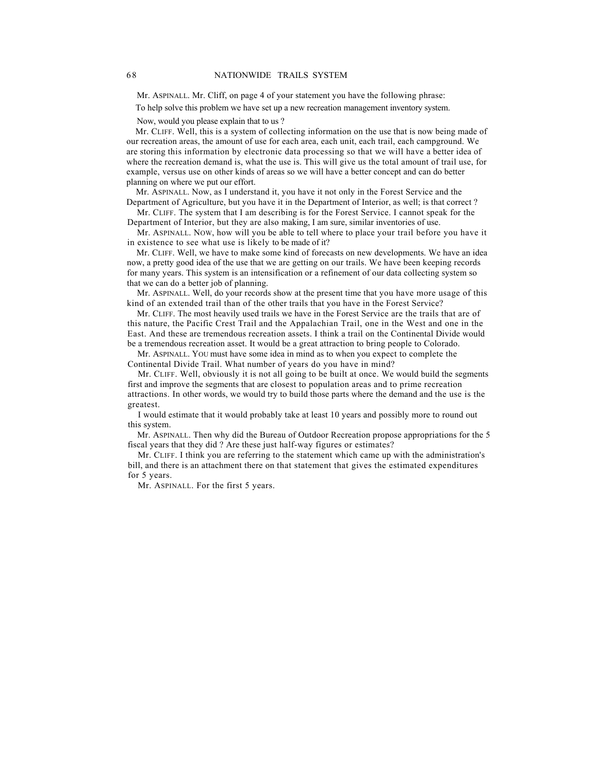Mr. ASPINALL. Mr. Cliff, on page 4 of your statement you have the following phrase:

To help solve this problem we have set up a new recreation management inventory system.

Now, would you please explain that to us ?

Mr. CLIFF. Well, this is a system of collecting information on the use that is now being made of our recreation areas, the amount of use for each area, each unit, each trail, each campground. We are storing this information by electronic data processing so that we will have a better idea of where the recreation demand is, what the use is. This will give us the total amount of trail use, for example, versus use on other kinds of areas so we will have a better concept and can do better planning on where we put our effort.

Mr. ASPINALL. Now, as I understand it, you have it not only in the Forest Service and the Department of Agriculture, but you have it in the Department of Interior, as well; is that correct ?

Mr. CLIFF. The system that I am describing is for the Forest Service. I cannot speak for the Department of Interior, but they are also making, I am sure, similar inventories of use.

Mr. ASPINALL. NOW, how will you be able to tell where to place your trail before you have it in existence to see what use is likely to be made of it?

Mr. CLIFF. Well, we have to make some kind of forecasts on new developments. We have an idea now, a pretty good idea of the use that we are getting on our trails. We have been keeping records for many years. This system is an intensification or a refinement of our data collecting system so that we can do a better job of planning.

Mr. ASPINALL. Well, do your records show at the present time that you have more usage of this kind of an extended trail than of the other trails that you have in the Forest Service?

Mr. CLIFF. The most heavily used trails we have in the Forest Service are the trails that are of this nature, the Pacific Crest Trail and the Appalachian Trail, one in the West and one in the East. And these are tremendous recreation assets. I think a trail on the Continental Divide would be a tremendous recreation asset. It would be a great attraction to bring people to Colorado.

Mr. ASPINALL. YOU must have some idea in mind as to when you expect to complete the Continental Divide Trail. What number of years do you have in mind?

Mr. CLIFF. Well, obviously it is not all going to be built at once. We would build the segments first and improve the segments that are closest to population areas and to prime recreation attractions. In other words, we would try to build those parts where the demand and the use is the greatest.

I would estimate that it would probably take at least 10 years and possibly more to round out this system.

Mr. ASPINALL. Then why did the Bureau of Outdoor Recreation propose appropriations for the 5 fiscal years that they did ? Are these just half-way figures or estimates?

Mr. CLIFF. I think you are referring to the statement which came up with the administration's bill, and there is an attachment there on that statement that gives the estimated expenditures for 5 years.

Mr. ASPINALL. For the first 5 years.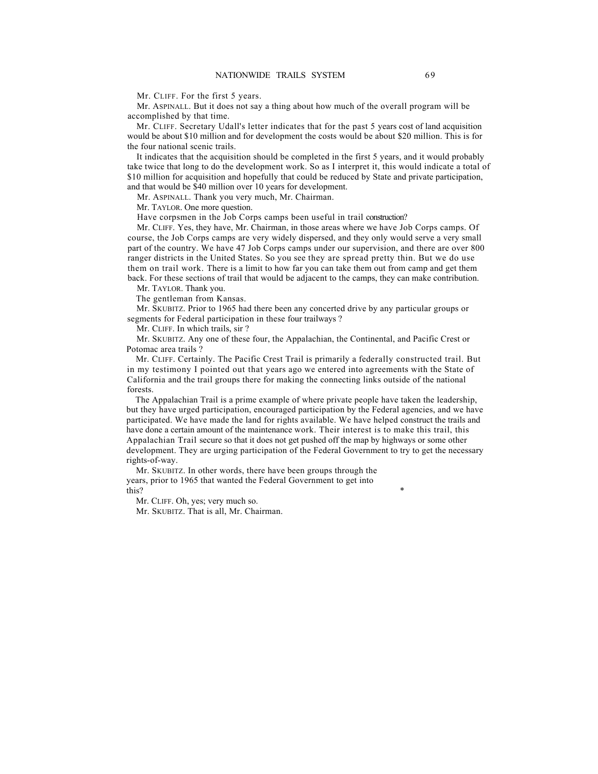Mr. CLIFF. For the first 5 years.

Mr. ASPINALL. But it does not say a thing about how much of the overall program will be accomplished by that time.

Mr. CLIFF. Secretary Udall's letter indicates that for the past 5 years cost of land acquisition would be about \$10 million and for development the costs would be about \$20 million. This is for the four national scenic trails.

It indicates that the acquisition should be completed in the first 5 years, and it would probably take twice that long to do the development work. So as I interpret it, this would indicate a total of \$10 million for acquisition and hopefully that could be reduced by State and private participation, and that would be \$40 million over 10 years for development.

Mr. ASPINALL. Thank you very much, Mr. Chairman.

Mr. TAYLOR. One more question.

Have corpsmen in the Job Corps camps been useful in trail construction?

Mr. CLIFF. Yes, they have, Mr. Chairman, in those areas where we have Job Corps camps. Of course, the Job Corps camps are very widely dispersed, and they only would serve a very small part of the country. We have 47 Job Corps camps under our supervision, and there are over 800 ranger districts in the United States. So you see they are spread pretty thin. But we do use them on trail work. There is a limit to how far you can take them out from camp and get them back. For these sections of trail that would be adjacent to the camps, they can make contribution.

Mr. TAYLOR. Thank you.

The gentleman from Kansas.

Mr. SKUBITZ. Prior to 1965 had there been any concerted drive by any particular groups or segments for Federal participation in these four trailways ?

Mr. CLIFF. In which trails, sir ?

Mr. SKUBITZ. Any one of these four, the Appalachian, the Continental, and Pacific Crest or Potomac area trails ?

Mr. CLIFF. Certainly. The Pacific Crest Trail is primarily a federally constructed trail. But in my testimony I pointed out that years ago we entered into agreements with the State of California and the trail groups there for making the connecting links outside of the national forests.

The Appalachian Trail is a prime example of where private people have taken the leadership, but they have urged participation, encouraged participation by the Federal agencies, and we have participated. We have made the land for rights available. We have helped construct the trails and have done a certain amount of the maintenance work. Their interest is to make this trail, this Appalachian Trail secure so that it does not get pushed off the map by highways or some other development. They are urging participation of the Federal Government to try to get the necessary rights-of-way.

Mr. SKUBITZ. In other words, there have been groups through the years, prior to 1965 that wanted the Federal Government to get into this?

Mr. CLIFF. Oh, yes; very much so.

Mr. SKUBITZ. That is all, Mr. Chairman.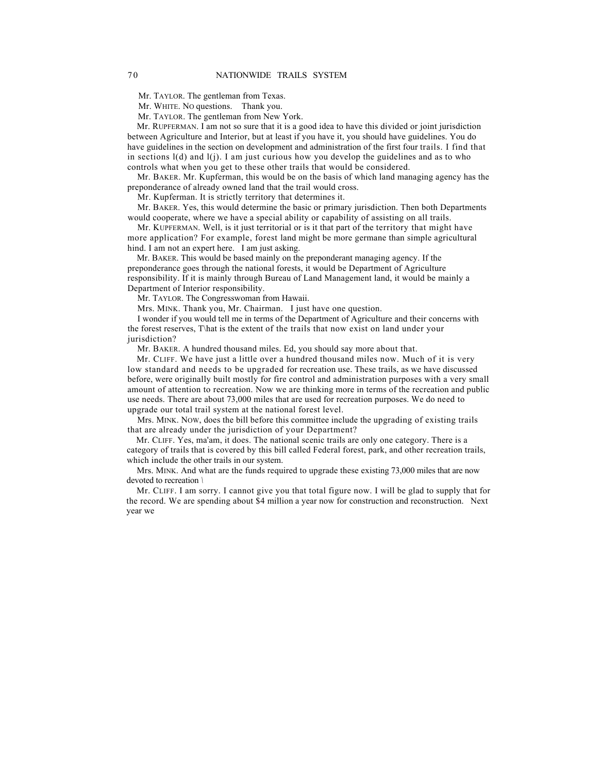Mr. TAYLOR. The gentleman from Texas.

Mr. WHITE. NO questions. Thank you.

Mr. TAYLOR. The gentleman from New York.

Mr. RUPFERMAN. I am not so sure that it is a good idea to have this divided or joint jurisdiction between Agriculture and Interior, but at least if you have it, you should have guidelines. You do have guidelines in the section on development and administration of the first four trails. I find that in sections  $l(d)$  and  $l(j)$ . I am just curious how you develop the guidelines and as to who controls what when you get to these other trails that would be considered.

Mr. BAKER. Mr. Kupferman, this would be on the basis of which land managing agency has the preponderance of already owned land that the trail would cross.

Mr. Kupferman. It is strictly territory that determines it.

Mr. BAKER. Yes, this would determine the basic or primary jurisdiction. Then both Departments would cooperate, where we have a special ability or capability of assisting on all trails.

Mr. KUPFERMAN. Well, is it just territorial or is it that part of the territory that might have more application? For example, forest land might be more germane than simple agricultural hind. I am not an expert here. I am just asking.

Mr. BAKER. This would be based mainly on the preponderant managing agency. If the preponderance goes through the national forests, it would be Department of Agriculture responsibility. If it is mainly through Bureau of Land Management land, it would be mainly a Department of Interior responsibility.

Mr. TAYLOR. The Congresswoman from Hawaii.

Mrs. MINK. Thank you, Mr. Chairman. I just have one question.

I wonder if you would tell me in terms of the Department of Agriculture and their concerns with the forest reserves, T\hat is the extent of the trails that now exist on land under your jurisdiction?

Mr. BAKER. A hundred thousand miles. Ed, you should say more about that.

Mr. CLIFF. We have just a little over a hundred thousand miles now. Much of it is very low standard and needs to be upgraded for recreation use. These trails, as we have discussed before, were originally built mostly for fire control and administration purposes with a very small amount of attention to recreation. Now we are thinking more in terms of the recreation and public use needs. There are about 73,000 miles that are used for recreation purposes. We do need to upgrade our total trail system at the national forest level.

Mrs. MINK. NOW, does the bill before this committee include the upgrading of existing trails that are already under the jurisdiction of your Department?

Mr. CLIFF. Yes, ma'am, it does. The national scenic trails are only one category. There is a category of trails that is covered by this bill called Federal forest, park, and other recreation trails, which include the other trails in our system.

Mrs. MINK. And what are the funds required to upgrade these existing 73,000 miles that are now devoted to recreation *\*

Mr. CLIFF. I am sorry. I cannot give you that total figure now. I will be glad to supply that for the record. We are spending about \$4 million a year now for construction and reconstruction. Next year we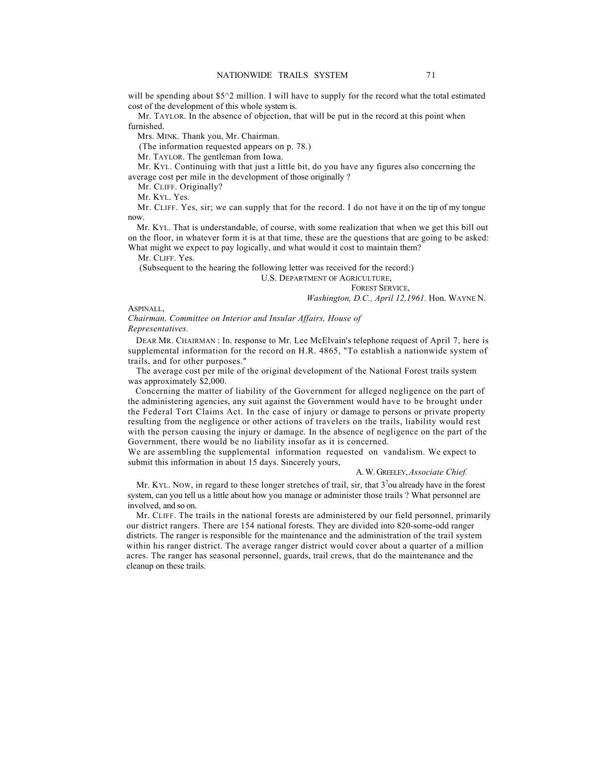will be spending about \$5^2 million. I will have to supply for the record what the total estimated cost of the development of this whole system is.

Mr. TAYLOR. In the absence of objection, that will be put in the record at this point when furnished.

Mrs. MINK. Thank you, Mr. Chairman.

(The information requested appears on p. 78.)

Mr. TAYLOR. The gentleman from Iowa.

Mr. KYL. Continuing with that just a little bit, do you have any figures also concerning the average cost per mile in the development of those originally ?

Mr. CLIFF. Originally?

Mr. KYL. Yes.

Mr. CLIFF. Yes, sir; we can supply that for the record. I do not have it on the tip of my tongue now.

Mr. KYL. That is understandable, of course, with some realization that when we get this bill out on the floor, in whatever form it is at that time, these are the questions that are going to be asked: What might we expect to pay logically, and what would it cost to maintain them?

Mr. CLIFF. Yes.

(Subsequent to the hearing the following letter was received for the record:)

U.S. DEPARTMENT OF AGRICULTURE,

FOREST SERVICE,

*Washington, D.C., April 12,1961.* Hon. WAYNE N.

#### ASPINALL,

*Chairman, Committee on Interior and Insular Affairs, House of Representatives.*

DEAR MR. CHAIRMAN : In. response to Mr. Lee McElvain's telephone request of April 7, here is supplemental information for the record on H.R. 4865, "To establish a nationwide system of trails, and for other purposes."

The average cost per mile of the original development of the National Forest trails system was approximately \$2,000.

Concerning the matter of liability of the Government for alleged negligence on the part of the administering agencies, any suit against the Government would have to be brought under the Federal Tort Claims Act. In the case of injury or damage to persons or private property resulting from the negligence or other actions of travelers on the trails, liability would rest with the person causing the injury or damage. In the absence of negligence on the part of the Government, there would be no liability insofar as it is concerned.

We are assembling the supplemental information requested on vandalism. We expect to submit this information in about 15 days. Sincerely yours,

## A. W. GREELEY, *Associate Chief.*

Mr. KYL. NOW, in regard to these longer stretches of trail, sir, that  $3<sup>7</sup>$ ou already have in the forest system, can you tell us a little about how you manage or administer those trails ? What personnel are involved, and so on.

Mr. CLIFF. The trails in the national forests are administered by our field personnel, primarily our district rangers. There are 154 national forests. They are divided into 820-some-odd ranger districts. The ranger is responsible for the maintenance and the administration of the trail system within his ranger district. The average ranger district would cover about a quarter of a million acres. The ranger has seasonal personnel, guards, trail crews, that do the maintenance and the cleanup on these trails.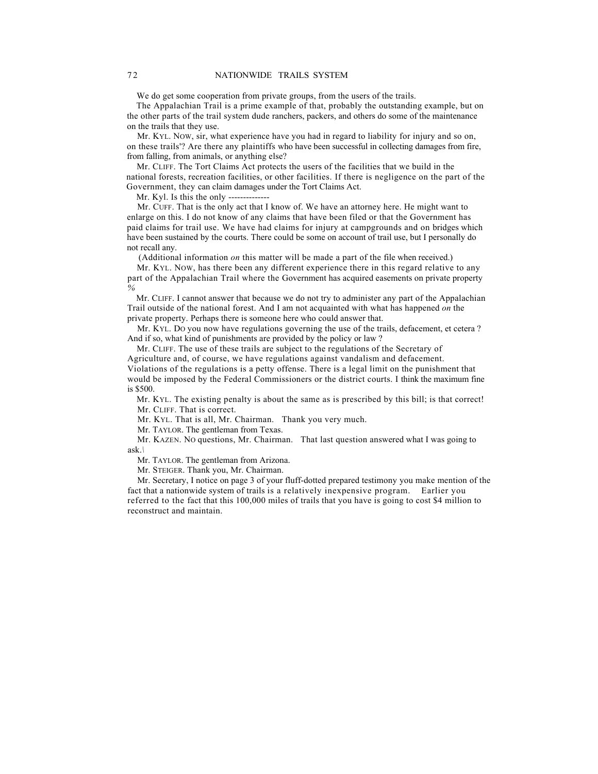We do get some cooperation from private groups, from the users of the trails.

The Appalachian Trail is a prime example of that, probably the outstanding example, but on the other parts of the trail system dude ranchers, packers, and others do some of the maintenance on the trails that they use.

Mr. KYL. NOW, sir, what experience have you had in regard to liability for injury and so on, on these trails'? Are there any plaintiffs who have been successful in collecting damages from fire, from falling, from animals, or anything else?

Mr. CLIFF. The Tort Claims Act protects the users of the facilities that we build in the national forests, recreation facilities, or other facilities. If there is negligence on the part of the Government, they can claim damages under the Tort Claims Act.

Mr. Kyl. Is this the only --------------

Mr. CUFF. That is the only act that I know of. We have an attorney here. He might want to enlarge on this. I do not know of any claims that have been filed or that the Government has paid claims for trail use. We have had claims for injury at campgrounds and on bridges which have been sustained by the courts. There could be some on account of trail use, but I personally do not recall any.

(Additional information *on* this matter will be made a part of the file when received.)

Mr. KYL. NOW, has there been any different experience there in this regard relative to any part of the Appalachian Trail where the Government has acquired easements on private property *%*

Mr. CLIFF. I cannot answer that because we do not try to administer any part of the Appalachian Trail outside of the national forest. And I am not acquainted with what has happened *on* the private property. Perhaps there is someone here who could answer that.

Mr. KYL. DO you now have regulations governing the use of the trails, defacement, et cetera ? And if so, what kind of punishments are provided by the policy or law ?

Mr. CLIFF. The use of these trails are subject to the regulations of the Secretary of Agriculture and, of course, we have regulations against vandalism and defacement. Violations of the regulations is a petty offense. There is a legal limit on the punishment that would be imposed by the Federal Commissioners or the district courts. I think the maximum fine is \$500.

Mr. KYL. The existing penalty is about the same as is prescribed by this bill; is that correct! Mr. CLIFF. That is correct.

Mr. KYL. That is all, Mr. Chairman. Thank you very much.

Mr. TAYLOR. The gentleman from Texas.

Mr. KAZEN. NO questions, Mr. Chairman. That last question answered what I was going to ask.*\*

Mr. TAYLOR. The gentleman from Arizona.

Mr. STEIGER. Thank you, Mr. Chairman.

Mr. Secretary, I notice on page 3 of your fluff-dotted prepared testimony you make mention of the fact that a nationwide system of trails is a relatively inexpensive program. Earlier you referred to the fact that this 100,000 miles of trails that you have is going to cost \$4 million to reconstruct and maintain.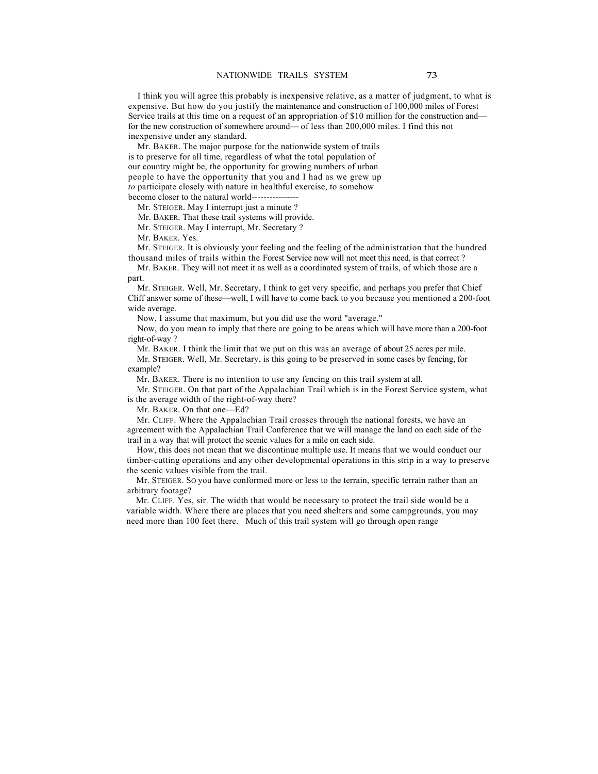I think you will agree this probably is inexpensive relative, as a matter of judgment, to what is expensive. But how do you justify the maintenance and construction of 100,000 miles of Forest Service trails at this time on a request of an appropriation of \$10 million for the construction and for the new construction of somewhere around— of less than 200,000 miles. I find this not inexpensive under any standard.

Mr. BAKER. The major purpose for the nationwide system of trails is to preserve for all time, regardless of what the total population of our country might be, the opportunity for growing numbers of urban people to have the opportunity that you and I had as we grew up *to* participate closely with nature in healthful exercise, to somehow become closer to the natural world----------------

Mr. STEIGER. May I interrupt just a minute ?

Mr. BAKER. That these trail systems will provide.

Mr. STEIGER. May I interrupt, Mr. Secretary ?

Mr. BAKER. Yes.

Mr. STEIGER. It is obviously your feeling and the feeling of the administration that the hundred thousand miles of trails within the Forest Service now will not meet this need, is that correct ?

Mr. BAKER. They will not meet it as well as a coordinated system of trails, of which those are a part.

Mr. STEIGER. Well, Mr. Secretary, I think to get very specific, and perhaps you prefer that Chief Cliff answer some of these—well, I will have to come back to you because you mentioned a 200-foot wide average.

Now, I assume that maximum, but you did use the word "average."

Now, do you mean to imply that there are going to be areas which will have more than a 200-foot right-of-way ?

Mr. BAKER. I think the limit that we put on this was an average of about 25 acres per mile.

Mr. STEIGER. Well, Mr. Secretary, is this going to be preserved in some cases by fencing, for example?

Mr. BAKER. There is no intention to use any fencing on this trail system at all.

Mr. STEIGER. On that part of the Appalachian Trail which is in the Forest Service system, what is the average width of the right-of-way there?

Mr. BAKER. On that one—Ed?

Mr. CLIFF. Where the Appalachian Trail crosses through the national forests, we have an agreement with the Appalachian Trail Conference that we will manage the land on each side of the trail in a way that will protect the scenic values for a mile on each side.

How, this does not mean that we discontinue multiple use. It means that we would conduct our timber-cutting operations and any other developmental operations in this strip in a way to preserve the scenic values visible from the trail.

Mr. STEIGER. SO you have conformed more or less to the terrain, specific terrain rather than an arbitrary footage?

Mr. CLIFF. Yes, sir. The width that would be necessary to protect the trail side would be a variable width. Where there are places that you need shelters and some campgrounds, you may need more than 100 feet there. Much of this trail system will go through open range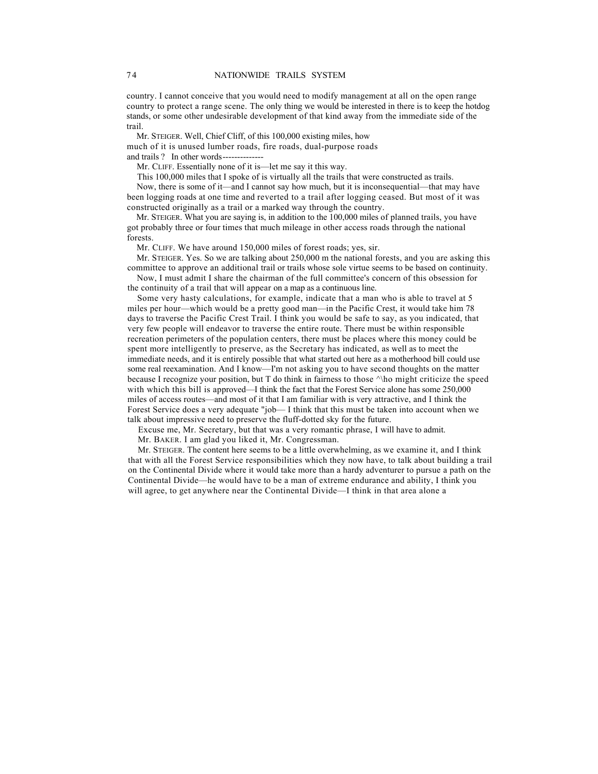country. I cannot conceive that you would need to modify management at all on the open range country to protect a range scene. The only thing we would be interested in there is to keep the hotdog stands, or some other undesirable development of that kind away from the immediate side of the trail.

Mr. STEIGER. Well, Chief Cliff, of this 100,000 existing miles, how much of it is unused lumber roads, fire roads, dual-purpose roads and trails ? In other words--------------

Mr. CLIFF. Essentially none of it is—let me say it this way.

This 100,000 miles that I spoke of is virtually all the trails that were constructed as trails. Now, there is some of it—and I cannot say how much, but it is inconsequential—that may have been logging roads at one time and reverted to a trail after logging ceased. But most of it was constructed originally as a trail or a marked way through the country.

Mr. STEIGER. What you are saying is, in addition to the 100,000 miles of planned trails, you have got probably three or four times that much mileage in other access roads through the national forests.

Mr. CLIFF. We have around 150,000 miles of forest roads; yes, sir.

Mr. STEIGER. Yes. So we are talking about 250,000 m the national forests, and you are asking this committee to approve an additional trail or trails whose sole virtue seems to be based on continuity.

Now, I must admit I share the chairman of the full committee's concern of this obsession for the continuity of a trail that will appear on a map as a continuous line.

Some very hasty calculations, for example, indicate that a man who is able to travel at 5 miles per hour—which would be a pretty good man—in the Pacific Crest, it would take him 78 days to traverse the Pacific Crest Trail. I think you would be safe to say, as you indicated, that very few people will endeavor to traverse the entire route. There must be within responsible recreation perimeters of the population centers, there must be places where this money could be spent more intelligently to preserve, as the Secretary has indicated, as well as to meet the immediate needs, and it is entirely possible that what started out here as a motherhood bill could use some real reexamination. And I know—I'm not asking you to have second thoughts on the matter because I recognize your position, but T do think in fairness to those ^\ho might criticize the speed with which this bill is approved—I think the fact that the Forest Service alone has some 250,000 miles of access routes—and most of it that I am familiar with is very attractive, and I think the Forest Service does a very adequate "job— I think that this must be taken into account when we talk about impressive need to preserve the fluff-dotted sky for the future.

Excuse me, Mr. Secretary, but that was a very romantic phrase, I will have to admit.

Mr. BAKER. I am glad you liked it, Mr. Congressman.

Mr. STEIGER. The content here seems to be a little overwhelming, as we examine it, and I think that with all the Forest Service responsibilities which they now have, to talk about building a trail on the Continental Divide where it would take more than a hardy adventurer to pursue a path on the Continental Divide—he would have to be a man of extreme endurance and ability, I think you will agree, to get anywhere near the Continental Divide—I think in that area alone a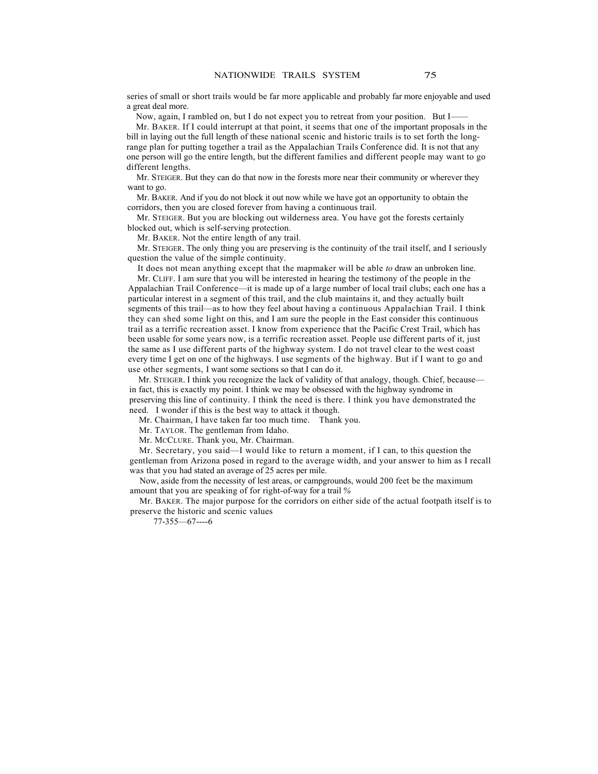series of small or short trails would be far more applicable and probably far more enjoyable and used a great deal more.

Now, again, I rambled on, but I do not expect you to retreat from your position. But I-

Mr. BAKER. If I could interrupt at that point, it seems that one of the important proposals in the bill in laying out the full length of these national scenic and historic trails is to set forth the longrange plan for putting together a trail as the Appalachian Trails Conference did. It is not that any one person will go the entire length, but the different families and different people may want to go different lengths.

Mr. STEIGER. But they can do that now in the forests more near their community or wherever they want to go.

Mr. BAKER. And if you do not block it out now while we have got an opportunity to obtain the corridors, then you are closed forever from having a continuous trail.

Mr. STEIGER. But you are blocking out wilderness area. You have got the forests certainly blocked out, which is self-serving protection.

Mr. BAKER. Not the entire length of any trail.

Mr. STEIGER. The only thing you are preserving is the continuity of the trail itself, and I seriously question the value of the simple continuity.

It does not mean anything except that the mapmaker will be able *to* draw an unbroken line.

Mr. CLIFF. I am sure that you will be interested in hearing the testimony of the people in the Appalachian Trail Conference—it is made up of a large number of local trail clubs; each one has a particular interest in a segment of this trail, and the club maintains it, and they actually built segments of this trail—as to how they feel about having a continuous Appalachian Trail. I think they can shed some light on this, and I am sure the people in the East consider this continuous trail as a terrific recreation asset. I know from experience that the Pacific Crest Trail, which has been usable for some years now, is a terrific recreation asset. People use different parts of it, just the same as I use different parts of the highway system. I do not travel clear to the west coast every time I get on one of the highways. I use segments of the highway. But if I want to go and use other segments, I want some sections so that I can do it.

Mr. STEIGER. I think you recognize the lack of validity of that analogy, though. Chief, because in fact, this is exactly my point. I think we may be obsessed with the highway syndrome in preserving this line of continuity. I think the need is there. I think you have demonstrated the need. I wonder if this is the best way to attack it though.

Mr. Chairman, I have taken far too much time. Thank you.

Mr. TAYLOR. The gentleman from Idaho.

Mr. MCCLURE. Thank you, Mr. Chairman.

Mr. Secretary, you said—I would like to return a moment, if I can, to this question the gentleman from Arizona posed in regard to the average width, and your answer to him as I recall was that you had stated an average of 25 acres per mile.

Now, aside from the necessity of lest areas, or campgrounds, would 200 feet be the maximum amount that you are speaking of for right-of-way for a trail *%*

Mr. BAKER. The major purpose for the corridors on either side of the actual footpath itself is to preserve the historic and scenic values

77-355—67----6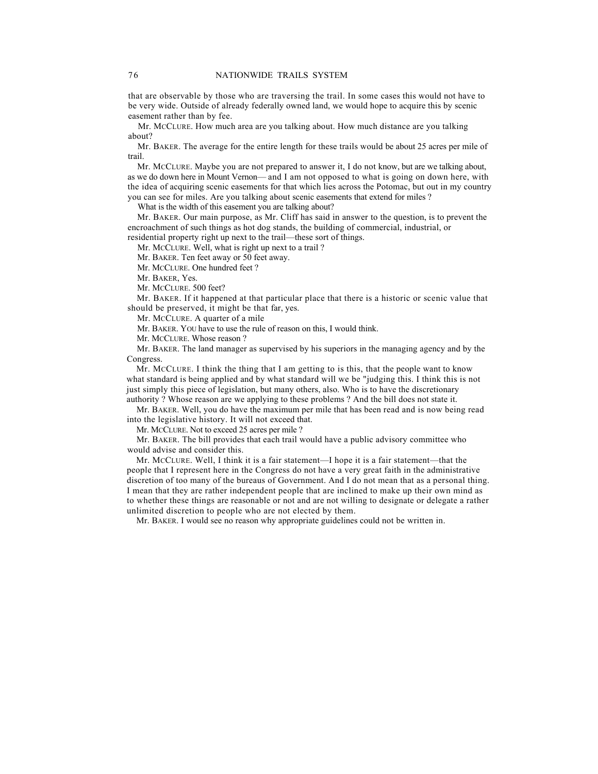### 76 NATIONWIDE TRAILS SYSTEM

that are observable by those who are traversing the trail. In some cases this would not have to be very wide. Outside of already federally owned land, we would hope to acquire this by scenic easement rather than by fee.

Mr. MCCLURE. How much area are you talking about. How much distance are you talking about?

Mr. BAKER. The average for the entire length for these trails would be about 25 acres per mile of trail.

Mr. MCCLURE. Maybe you are not prepared to answer it, I do not know, but are we talking about, as we do down here in Mount Vernon— and I am not opposed to what is going on down here, with the idea of acquiring scenic easements for that which lies across the Potomac, but out in my country you can see for miles. Are you talking about scenic easements that extend for miles ?

What is the width of this easement you are talking about?

Mr. BAKER. Our main purpose, as Mr. Cliff has said in answer to the question, is to prevent the encroachment of such things as hot dog stands, the building of commercial, industrial, or residential property right up next to the trail—these sort of things.

Mr. MCCLURE. Well, what is right up next to a trail ?

Mr. BAKER. Ten feet away or 50 feet away.

Mr. MCCLURE. One hundred feet ?

Mr. BAKER, Yes.

Mr. MCCLURE. 500 feet?

Mr. BAKER. If it happened at that particular place that there is a historic or scenic value that should be preserved, it might be that far, yes.

Mr. MCCLURE. A quarter of a mile

Mr. BAKER. YOU have to use the rule of reason on this, I would think.

Mr. MCCLURE. Whose reason ?

Mr. BAKER. The land manager as supervised by his superiors in the managing agency and by the Congress.

Mr. MCCLURE. I think the thing that I am getting to is this, that the people want to know what standard is being applied and by what standard will we be "judging this. I think this is not just simply this piece of legislation, but many others, also. Who is to have the discretionary authority ? Whose reason are we applying to these problems ? And the bill does not state it.

Mr. BAKER. Well, you do have the maximum per mile that has been read and is now being read into the legislative history. It will not exceed that.

Mr. MCCLURE. Not to exceed 25 acres per mile ?

Mr. BAKER. The bill provides that each trail would have a public advisory committee who would advise and consider this.

Mr. MCCLURE. Well, I think it is a fair statement—I hope it is a fair statement—that the people that I represent here in the Congress do not have a very great faith in the administrative discretion of too many of the bureaus of Government. And I do not mean that as a personal thing. I mean that they are rather independent people that are inclined to make up their own mind as to whether these things are reasonable or not and are not willing to designate or delegate a rather unlimited discretion to people who are not elected by them.

Mr. BAKER. I would see no reason why appropriate guidelines could not be written in.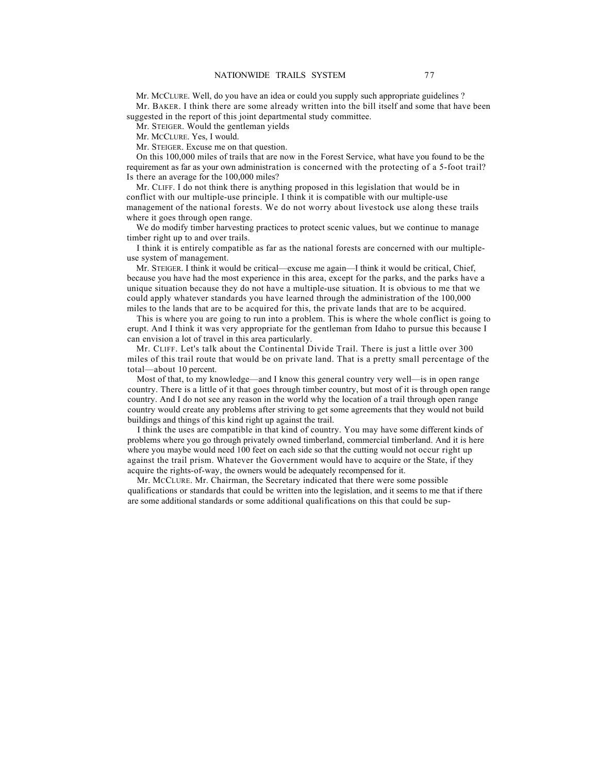## NATIONWIDE TRAILS SYSTEM 77

Mr. MCCLURE. Well, do you have an idea or could you supply such appropriate guidelines ? Mr. BAKER. I think there are some already written into the bill itself and some that have been suggested in the report of this joint departmental study committee.

Mr. STEIGER. Would the gentleman yields

Mr. MCCLURE. Yes, I would.

Mr. STEIGER. Excuse me on that question.

On this 100,000 miles of trails that are now in the Forest Service, what have you found to be the requirement as far as your own administration is concerned with the protecting of a 5-foot trail? Is there an average for the 100,000 miles?

Mr. CLIFF. I do not think there is anything proposed in this legislation that would be in conflict with our multiple-use principle. I think it is compatible with our multiple-use management of the national forests. We do not worry about livestock use along these trails where it goes through open range.

We do modify timber harvesting practices to protect scenic values, but we continue to manage timber right up to and over trails.

I think it is entirely compatible as far as the national forests are concerned with our multipleuse system of management.

Mr. STEIGER. I think it would be critical—excuse me again—I think it would be critical, Chief, because you have had the most experience in this area, except for the parks, and the parks have a unique situation because they do not have a multiple-use situation. It is obvious to me that we could apply whatever standards you have learned through the administration of the 100,000 miles to the lands that are to be acquired for this, the private lands that are to be acquired.

This is where you are going to run into a problem. This is where the whole conflict is going to erupt. And I think it was very appropriate for the gentleman from Idaho to pursue this because I can envision a lot of travel in this area particularly.

Mr. CLIFF. Let's talk about the Continental Divide Trail. There is just a little over 300 miles of this trail route that would be on private land. That is a pretty small percentage of the total—about 10 percent.

Most of that, to my knowledge—and I know this general country very well—is in open range country. There is a little of it that goes through timber country, but most of it is through open range country. And I do not see any reason in the world why the location of a trail through open range country would create any problems after striving to get some agreements that they would not build buildings and things of this kind right up against the trail.

I think the uses are compatible in that kind of country. You may have some different kinds of problems where you go through privately owned timberland, commercial timberland. And it is here where you maybe would need 100 feet on each side so that the cutting would not occur right up against the trail prism. Whatever the Government would have to acquire or the State, if they acquire the rights-of-way, the owners would be adequately recompensed for it.

Mr. MCCLURE. Mr. Chairman, the Secretary indicated that there were some possible qualifications or standards that could be written into the legislation, and it seems to me that if there are some additional standards or some additional qualifications on this that could be sup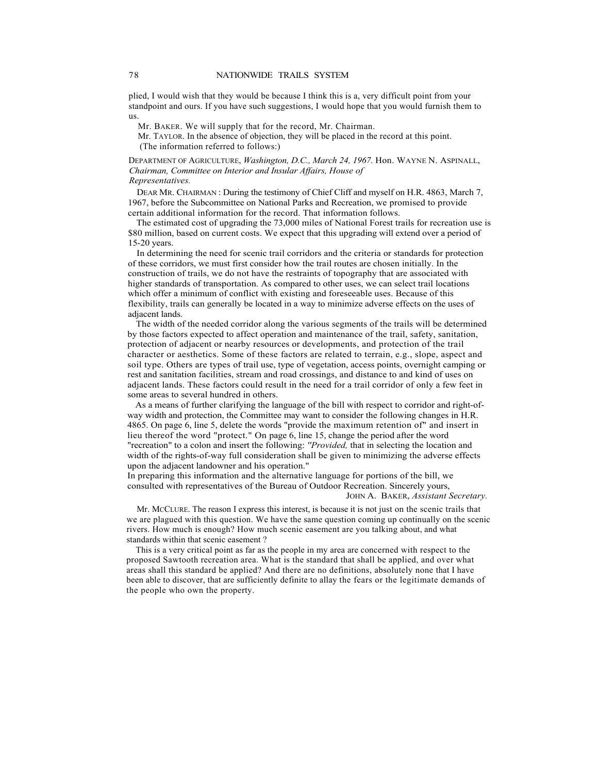plied, I would wish that they would be because I think this is a, very difficult point from your standpoint and ours. If you have such suggestions, I would hope that you would furnish them to us.

Mr. BAKER. We will supply that for the record, Mr. Chairman.

Mr. TAYLOR. In the absence of objection, they will be placed in the record at this point. (The information referred to follows:)

DEPARTMENT OF AGRICULTURE, *Washington, D.C., March 24, 1967.* Hon. WAYNE N. ASPINALL, *Chairman, Committee on Interior and Insular Affairs, House of Representatives.*

DEAR MR. CHAIRMAN : During the testimony of Chief Cliff and myself on H.R. 4863, March 7, 1967, before the Subcommittee on National Parks and Recreation, we promised to provide certain additional information for the record. That information follows.

The estimated cost of upgrading the 73,000 miles of National Forest trails for recreation use is \$80 million, based on current costs. We expect that this upgrading will extend over a period of 15-20 years.

In determining the need for scenic trail corridors and the criteria or standards for protection of these corridors, we must first consider how the trail routes are chosen initially. In the construction of trails, we do not have the restraints of topography that are associated with higher standards of transportation. As compared to other uses, we can select trail locations which offer a minimum of conflict with existing and foreseeable uses. Because of this flexibility, trails can generally be located in a way to minimize adverse effects on the uses of adjacent lands.

The width of the needed corridor along the various segments of the trails will be determined by those factors expected to affect operation and maintenance of the trail, safety, sanitation, protection of adjacent or nearby resources or developments, and protection of the trail character or aesthetics. Some of these factors are related to terrain, e.g., slope, aspect and soil type. Others are types of trail use, type of vegetation, access points, overnight camping or rest and sanitation facilities, stream and road crossings, and distance to and kind of uses on adjacent lands. These factors could result in the need for a trail corridor of only a few feet in some areas to several hundred in others.

As a means of further clarifying the language of the bill with respect to corridor and right-ofway width and protection, the Committee may want to consider the following changes in H.R. 4865. On page 6, line 5, delete the words "provide the maximum retention of" and insert in lieu thereof the word "protect." On page 6, line 15, change the period after the word "recreation" to a colon and insert the following: *''Provided,* that in selecting the location and width of the rights-of-way full consideration shall be given to minimizing the adverse effects upon the adjacent landowner and his operation."

In preparing this information and the alternative language for portions of the bill, we consulted with representatives of the Bureau of Outdoor Recreation. Sincerely yours, JOHN A. BAKER, *Assistant Secretary.*

Mr. MCCLURE. The reason I express this interest, is because it is not just on the scenic trails that we are plagued with this question. We have the same question coming up continually on the scenic rivers. How much is enough? How much scenic easement are you talking about, and what standards within that scenic easement ?

This is a very critical point as far as the people in my area are concerned with respect to the proposed Sawtooth recreation area. What is the standard that shall be applied, and over what areas shall this standard be applied? And there are no definitions, absolutely none that I have been able to discover, that are sufficiently definite to allay the fears or the legitimate demands of the people who own the property.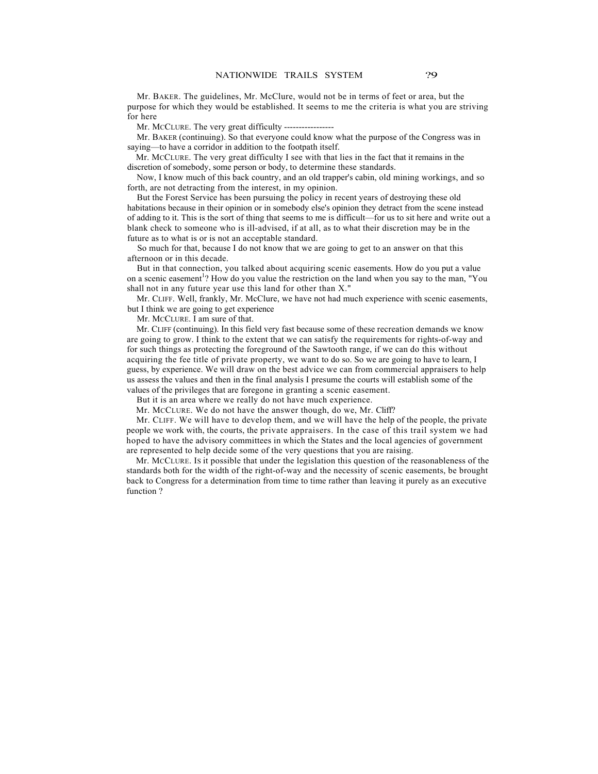Mr. BAKER. The guidelines, Mr. McClure, would not be in terms of feet or area, but the purpose for which they would be established. It seems to me the criteria is what you are striving for here

Mr. McCLURE. The very great difficulty ------------------

Mr. BAKER (continuing). So that everyone could know what the purpose of the Congress was in saying—to have a corridor in addition to the footpath itself.

Mr. MCCLURE. The very great difficulty I see with that lies in the fact that it remains in the discretion of somebody, some person or body, to determine these standards.

Now, I know much of this back country, and an old trapper's cabin, old mining workings, and so forth, are not detracting from the interest, in my opinion.

But the Forest Service has been pursuing the policy in recent years of destroying these old habitations because in their opinion or in somebody else's opinion they detract from the scene instead of adding to it. This is the sort of thing that seems to me is difficult—for us to sit here and write out a blank check to someone who is ill-advised, if at all, as to what their discretion may be in the future as to what is or is not an acceptable standard.

So much for that, because I do not know that we are going to get to an answer on that this afternoon or in this decade.

But in that connection, you talked about acquiring scenic easements. How do you put a value on a scenic easement<sup>1</sup>? How do you value the restriction on the land when you say to the man, "You shall not in any future year use this land for other than X."

Mr. CLIFF. Well, frankly, Mr. McClure, we have not had much experience with scenic easements, but I think we are going to get experience

Mr. MCCLURE. I am sure of that.

Mr. CLIFF (continuing). In this field very fast because some of these recreation demands we know are going to grow. I think to the extent that we can satisfy the requirements for rights-of-way and for such things as protecting the foreground of the Sawtooth range, if we can do this without acquiring the fee title of private property, we want to do so. So we are going to have to learn, I guess, by experience. We will draw on the best advice we can from commercial appraisers to help us assess the values and then in the final analysis I presume the courts will establish some of the values of the privileges that are foregone in granting a scenic easement.

But it is an area where we really do not have much experience.

Mr. MCCLURE. We do not have the answer though, do we, Mr. Cliff?

Mr. CLIFF. We will have to develop them, and we will have the help of the people, the private people we work with, the courts, the private appraisers. In the case of this trail system we had hoped to have the advisory committees in which the States and the local agencies of government are represented to help decide some of the very questions that you are raising.

Mr. MCCLURE. IS it possible that under the legislation this question of the reasonableness of the standards both for the width of the right-of-way and the necessity of scenic easements, be brought back to Congress for a determination from time to time rather than leaving it purely as an executive function ?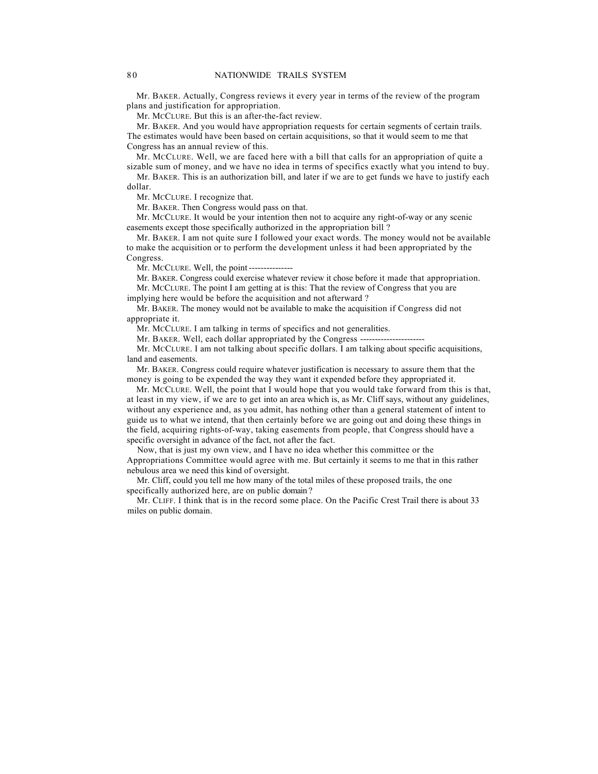Mr. BAKER. Actually, Congress reviews it every year in terms of the review of the program plans and justification for appropriation.

Mr. MCCLURE. But this is an after-the-fact review.

Mr. BAKER. And you would have appropriation requests for certain segments of certain trails. The estimates would have been based on certain acquisitions, so that it would seem to me that Congress has an annual review of this.

Mr. MCCLURE. Well, we are faced here with a bill that calls for an appropriation of quite a sizable sum of money, and we have no idea in terms of specifics exactly what you intend to buy.

Mr. BAKER. This is an authorization bill, and later if we are to get funds we have to justify each dollar.

Mr. MCCLURE. I recognize that.

Mr. BAKER. Then Congress would pass on that.

Mr. MCCLURE. It would be your intention then not to acquire any right-of-way or any scenic easements except those specifically authorized in the appropriation bill ?

Mr. BAKER. I am not quite sure I followed your exact words. The money would not be available to make the acquisition or to perform the development unless it had been appropriated by the Congress.

Mr. MCCLURE. Well, the point ---------------

Mr. BAKER. Congress could exercise whatever review it chose before it made that appropriation.

Mr. MCCLURE. The point I am getting at is this: That the review of Congress that you are implying here would be before the acquisition and not afterward ?

Mr. BAKER. The money would not be available to make the acquisition if Congress did not appropriate it.

Mr. MCCLURE. I am talking in terms of specifics and not generalities.

Mr. BAKER. Well, each dollar appropriated by the Congress ---

Mr. MCCLURE. I am not talking about specific dollars. I am talking about specific acquisitions, land and easements.

Mr. BAKER. Congress could require whatever justification is necessary to assure them that the money is going to be expended the way they want it expended before they appropriated it.

Mr. MCCLURE. Well, the point that I would hope that you would take forward from this is that, at least in my view, if we are to get into an area which is, as Mr. Cliff says, without any guidelines, without any experience and, as you admit, has nothing other than a general statement of intent to guide us to what we intend, that then certainly before we are going out and doing these things in the field, acquiring rights-of-way, taking easements from people, that Congress should have a specific oversight in advance of the fact, not after the fact.

Now, that is just my own view, and I have no idea whether this committee or the Appropriations Committee would agree with me. But certainly it seems to me that in this rather nebulous area we need this kind of oversight.

Mr. Cliff, could you tell me how many of the total miles of these proposed trails, the one specifically authorized here, are on public domain ?

Mr. CLIFF. I think that is in the record some place. On the Pacific Crest Trail there is about 33 miles on public domain.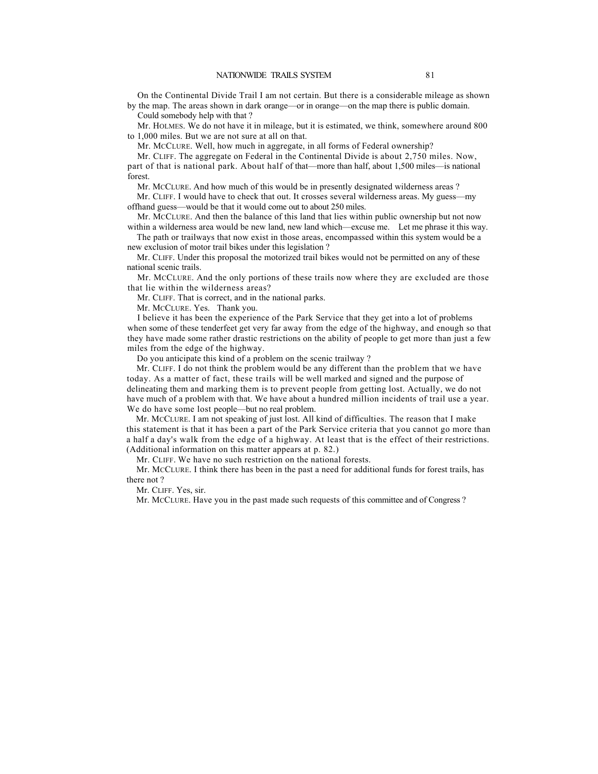On the Continental Divide Trail I am not certain. But there is a considerable mileage as shown by the map. The areas shown in dark orange—or in orange—on the map there is public domain.

Could somebody help with that ?

Mr. HOLMES. We do not have it in mileage, but it is estimated, we think, somewhere around 800 to 1,000 miles. But we are not sure at all on that.

Mr. MCCLURE. Well, how much in aggregate, in all forms of Federal ownership?

Mr. CLIFF. The aggregate on Federal in the Continental Divide is about 2,750 miles. Now, part of that is national park. About half of that—more than half, about 1,500 miles—is national forest.

Mr. MCCLURE. And how much of this would be in presently designated wilderness areas ?

Mr. CLIFF. I would have to check that out. It crosses several wilderness areas. My guess—my offhand guess—would be that it would come out to about 250 miles.

Mr. MCCLURE. And then the balance of this land that lies within public ownership but not now within a wilderness area would be new land, new land which—excuse me. Let me phrase it this way.

The path or trailways that now exist in those areas, encompassed within this system would be a new exclusion of motor trail bikes under this legislation ?

Mr. CLIFF. Under this proposal the motorized trail bikes would not be permitted on any of these national scenic trails.

Mr. MCCLURE. And the only portions of these trails now where they are excluded are those that lie within the wilderness areas?

Mr. CLIFF. That is correct, and in the national parks.

Mr. MCCLURE. Yes. Thank you.

I believe it has been the experience of the Park Service that they get into a lot of problems when some of these tenderfeet get very far away from the edge of the highway, and enough so that they have made some rather drastic restrictions on the ability of people to get more than just a few miles from the edge of the highway.

Do you anticipate this kind of a problem on the scenic trailway ?

Mr. CLIFF. I do not think the problem would be any different than the problem that we have today. As a matter of fact, these trails will be well marked and signed and the purpose of delineating them and marking them is to prevent people from getting lost. Actually, we do not have much of a problem with that. We have about a hundred million incidents of trail use a year. We do have some lost people—but no real problem.

Mr. MCCLURE. I am not speaking of just lost. All kind of difficulties. The reason that I make this statement is that it has been a part of the Park Service criteria that you cannot go more than a half a day's walk from the edge of a highway. At least that is the effect of their restrictions. (Additional information on this matter appears at p. 82.)

Mr. CLIFF. We have no such restriction on the national forests.

Mr. MCCLURE. I think there has been in the past a need for additional funds for forest trails, has there not ?

Mr. CLIFF. Yes, sir.

Mr. MCCLURE. Have you in the past made such requests of this committee and of Congress ?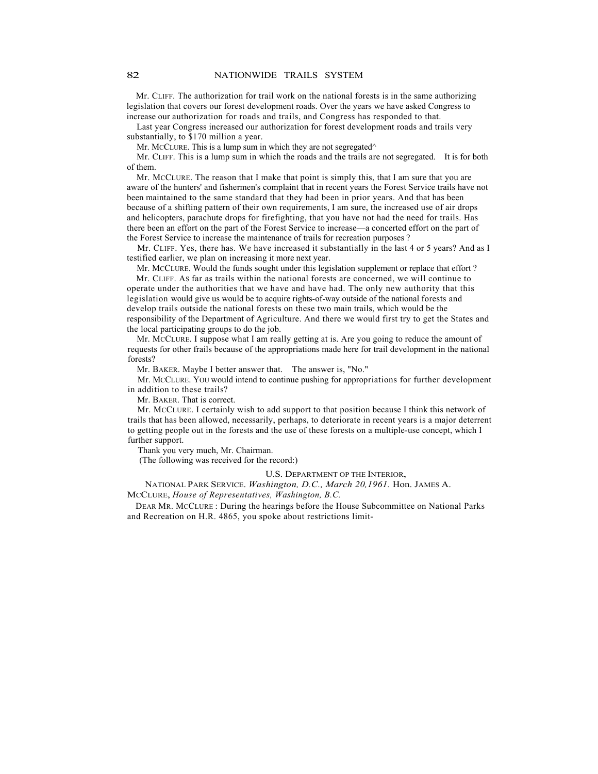Mr. CLIFF. The authorization for trail work on the national forests is in the same authorizing legislation that covers our forest development roads. Over the years we have asked Congress to increase our authorization for roads and trails, and Congress has responded to that.

Last year Congress increased our authorization for forest development roads and trails very substantially, to \$170 million a year.

Mr. MCCLURE. This is a lump sum in which they are not segregated $\wedge$ 

Mr. CLIFF. This is a lump sum in which the roads and the trails are not segregated. It is for both of them.

Mr. MCCLURE. The reason that I make that point is simply this, that I am sure that you are aware of the hunters' and fishermen's complaint that in recent years the Forest Service trails have not been maintained to the same standard that they had been in prior years. And that has been because of a shifting pattern of their own requirements, I am sure, the increased use of air drops and helicopters, parachute drops for firefighting, that you have not had the need for trails. Has there been an effort on the part of the Forest Service to increase—a concerted effort on the part of the Forest Service to increase the maintenance of trails for recreation purposes ?

Mr. CLIFF. Yes, there has. We have increased it substantially in the last 4 or 5 years? And as I testified earlier, we plan on increasing it more next year.

Mr. MCCLURE. Would the funds sought under this legislation supplement or replace that effort ?

Mr. CLIFF. AS far as trails within the national forests are concerned, we will continue to operate under the authorities that we have and have had. The only new authority that this legislation would give us would be to acquire rights-of-way outside of the national forests and develop trails outside the national forests on these two main trails, which would be the responsibility of the Department of Agriculture. And there we would first try to get the States and the local participating groups to do the job.

Mr. MCCLURE. I suppose what I am really getting at is. Are you going to reduce the amount of requests for other frails because of the appropriations made here for trail development in the national forests?

Mr. BAKER. Maybe I better answer that. The answer is, "No."

Mr. MCCLURE. YOU would intend to continue pushing for appropriations for further development in addition to these trails?

Mr. BAKER. That is correct.

Mr. MCCLURE. I certainly wish to add support to that position because I think this network of trails that has been allowed, necessarily, perhaps, to deteriorate in recent years is a major deterrent to getting people out in the forests and the use of these forests on a multiple-use concept, which I further support.

Thank you very much, Mr. Chairman.

(The following was received for the record:)

#### U.S. DEPARTMENT OP THE INTERIOR,

NATIONAL PARK SERVICE. *Washington, D.C., March 20,1961.* Hon. JAMES A.

MCCLURE, *House of Representatives, Washington, B.C.*

DEAR MR. MCCLURE : During the hearings before the House Subcommittee on National Parks and Recreation on H.R. 4865, you spoke about restrictions limit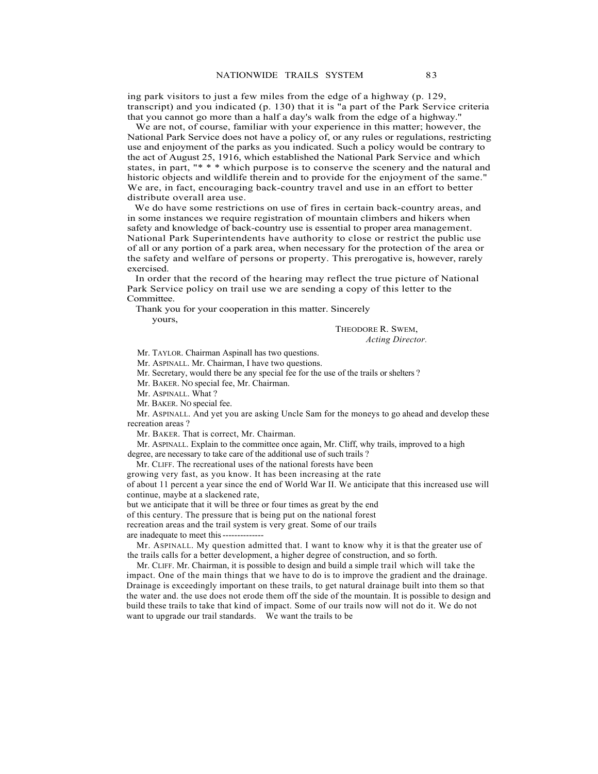ing park visitors to just a few miles from the edge of a highway (p. 129, transcript) and you indicated (p. 130) that it is "a part of the Park Service criteria that you cannot go more than a half a day's walk from the edge of a highway."

We are not, of course, familiar with your experience in this matter; however, the National Park Service does not have a policy of, or any rules or regulations, restricting use and enjoyment of the parks as you indicated. Such a policy would be contrary to the act of August 25, 1916, which established the National Park Service and which states, in part, "\* \* \* which purpose is to conserve the scenery and the natural and historic objects and wildlife therein and to provide for the enjoyment of the same." We are, in fact, encouraging back-country travel and use in an effort to better distribute overall area use.

We do have some restrictions on use of fires in certain back-country areas, and in some instances we require registration of mountain climbers and hikers when safety and knowledge of back-country use is essential to proper area management. National Park Superintendents have authority to close or restrict the public use of all or any portion of a park area, when necessary for the protection of the area or the safety and welfare of persons or property. This prerogative is, however, rarely exercised.

In order that the record of the hearing may reflect the true picture of National Park Service policy on trail use we are sending a copy of this letter to the **Committee** 

Thank you for your cooperation in this matter. Sincerely

yours,

THEODORE R. SWEM, *Acting Director.*

Mr. TAYLOR. Chairman Aspinall has two questions.

Mr. ASPINALL. Mr. Chairman, I have two questions.

Mr. Secretary, would there be any special fee for the use of the trails or shelters ?

Mr. BAKER. NO special fee, Mr. Chairman.

Mr. ASPINALL. What ?

Mr. BAKER. NO special fee.

Mr. ASPINALL. And yet you are asking Uncle Sam for the moneys to go ahead and develop these recreation areas ?

Mr. BAKER. That is correct, Mr. Chairman.

Mr. ASPINALL. Explain to the committee once again, Mr. Cliff, why trails, improved to a high

degree, are necessary to take care of the additional use of such trails ?

Mr. CLIFF. The recreational uses of the national forests have been growing very fast, as you know. It has been increasing at the rate of about 11 percent a year since the end of World War II. We anticipate that this increased use will continue, maybe at a slackened rate,

but we anticipate that it will be three or four times as great by the end of this century. The pressure that is being put on the national forest recreation areas and the trail system is very great. Some of our trails are inadequate to meet this ----

Mr. ASPINALL. My question admitted that. I want to know why it is that the greater use of the trails calls for a better development, a higher degree of construction, and so forth.

Mr. CLIFF. Mr. Chairman, it is possible to design and build a simple trail which will take the impact. One of the main things that we have to do is to improve the gradient and the drainage. Drainage is exceedingly important on these trails, to get natural drainage built into them so that the water and. the use does not erode them off the side of the mountain. It is possible to design and build these trails to take that kind of impact. Some of our trails now will not do it. We do not want to upgrade our trail standards. We want the trails to be